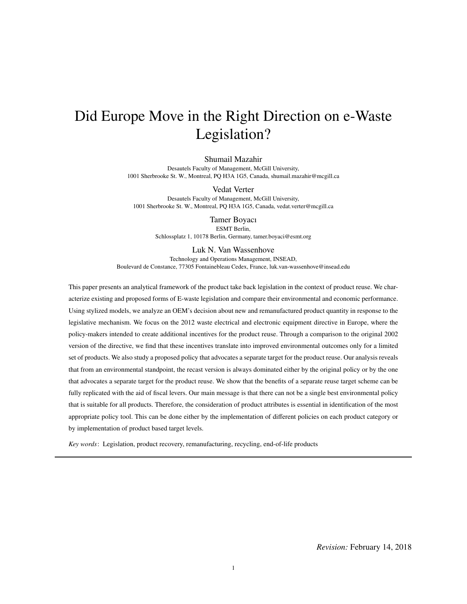# Did Europe Move in the Right Direction on e-Waste Legislation?

Shumail Mazahir Desautels Faculty of Management, McGill University, 1001 Sherbrooke St. W., Montreal, PQ H3A 1G5, Canada, shumail.mazahir@mcgill.ca

Vedat Verter Desautels Faculty of Management, McGill University, 1001 Sherbrooke St. W., Montreal, PQ H3A 1G5, Canada, vedat.verter@mcgill.ca

> Tamer Boyacı ESMT Berlin, Schlossplatz 1, 10178 Berlin, Germany, tamer.boyaci@esmt.org

#### Luk N. Van Wassenhove

Technology and Operations Management, INSEAD, Boulevard de Constance, 77305 Fontainebleau Cedex, France, luk.van-wassenhove@insead.edu

This paper presents an analytical framework of the product take back legislation in the context of product reuse. We characterize existing and proposed forms of E-waste legislation and compare their environmental and economic performance. Using stylized models, we analyze an OEM's decision about new and remanufactured product quantity in response to the legislative mechanism. We focus on the 2012 waste electrical and electronic equipment directive in Europe, where the policy-makers intended to create additional incentives for the product reuse. Through a comparison to the original 2002 version of the directive, we find that these incentives translate into improved environmental outcomes only for a limited set of products. We also study a proposed policy that advocates a separate target for the product reuse. Our analysis reveals that from an environmental standpoint, the recast version is always dominated either by the original policy or by the one that advocates a separate target for the product reuse. We show that the benefits of a separate reuse target scheme can be fully replicated with the aid of fiscal levers. Our main message is that there can not be a single best environmental policy that is suitable for all products. Therefore, the consideration of product attributes is essential in identification of the most appropriate policy tool. This can be done either by the implementation of different policies on each product category or by implementation of product based target levels.

*Key words*: Legislation, product recovery, remanufacturing, recycling, end-of-life products

*Revision:* February 14, 2018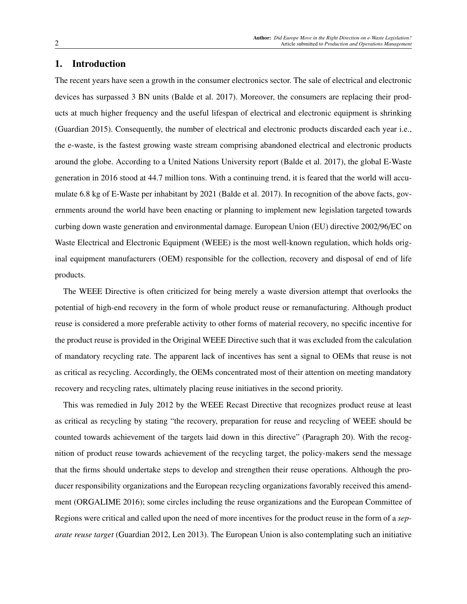# 1. Introduction

The recent years have seen a growth in the consumer electronics sector. The sale of electrical and electronic devices has surpassed 3 BN units [\(Balde et al.](#page-29-0) [2017\)](#page-29-0). Moreover, the consumers are replacing their products at much higher frequency and the useful lifespan of electrical and electronic equipment is shrinking [\(Guardian](#page-29-1) [2015\)](#page-29-1). Consequently, the number of electrical and electronic products discarded each year i.e., the e-waste, is the fastest growing waste stream comprising abandoned electrical and electronic products around the globe. According to a United Nations University report [\(Balde et al.](#page-29-0) [2017\)](#page-29-0), the global E-Waste generation in 2016 stood at 44.7 million tons. With a continuing trend, it is feared that the world will accumulate 6.8 kg of E-Waste per inhabitant by 2021 [\(Balde et al.](#page-29-0) [2017\)](#page-29-0). In recognition of the above facts, governments around the world have been enacting or planning to implement new legislation targeted towards curbing down waste generation and environmental damage. European Union (EU) directive 2002/96/EC on Waste Electrical and Electronic Equipment (WEEE) is the most well-known regulation, which holds original equipment manufacturers (OEM) responsible for the collection, recovery and disposal of end of life products.

The WEEE Directive is often criticized for being merely a waste diversion attempt that overlooks the potential of high-end recovery in the form of whole product reuse or remanufacturing. Although product reuse is considered a more preferable activity to other forms of material recovery, no specific incentive for the product reuse is provided in the Original WEEE Directive such that it was excluded from the calculation of mandatory recycling rate. The apparent lack of incentives has sent a signal to OEMs that reuse is not as critical as recycling. Accordingly, the OEMs concentrated most of their attention on meeting mandatory recovery and recycling rates, ultimately placing reuse initiatives in the second priority.

This was remedied in July 2012 by the WEEE Recast Directive that recognizes product reuse at least as critical as recycling by stating "the recovery, preparation for reuse and recycling of WEEE should be counted towards achievement of the targets laid down in this directive" (Paragraph 20). With the recognition of product reuse towards achievement of the recycling target, the policy-makers send the message that the firms should undertake steps to develop and strengthen their reuse operations. Although the producer responsibility organizations and the European recycling organizations favorably received this amendment [\(ORGALIME](#page-30-0) [2016\)](#page-30-0); some circles including the reuse organizations and the European Committee of Regions were critical and called upon the need of more incentives for the product reuse in the form of a *separate reuse target* [\(Guardian](#page-29-2) [2012,](#page-29-2) [Len](#page-30-1) [2013\)](#page-30-1). The European Union is also contemplating such an initiative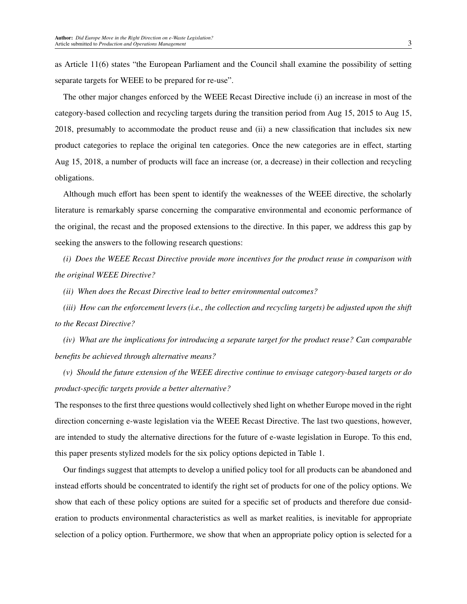as Article 11(6) states "the European Parliament and the Council shall examine the possibility of setting separate targets for WEEE to be prepared for re-use".

The other major changes enforced by the WEEE Recast Directive include (i) an increase in most of the category-based collection and recycling targets during the transition period from Aug 15, 2015 to Aug 15, 2018, presumably to accommodate the product reuse and (ii) a new classification that includes six new product categories to replace the original ten categories. Once the new categories are in effect, starting Aug 15, 2018, a number of products will face an increase (or, a decrease) in their collection and recycling obligations.

Although much effort has been spent to identify the weaknesses of the WEEE directive, the scholarly literature is remarkably sparse concerning the comparative environmental and economic performance of the original, the recast and the proposed extensions to the directive. In this paper, we address this gap by seeking the answers to the following research questions:

*(i) Does the WEEE Recast Directive provide more incentives for the product reuse in comparison with the original WEEE Directive?*

*(ii) When does the Recast Directive lead to better environmental outcomes?*

*(iii) How can the enforcement levers (i.e., the collection and recycling targets) be adjusted upon the shift to the Recast Directive?*

*(iv) What are the implications for introducing a separate target for the product reuse? Can comparable benefits be achieved through alternative means?*

*(v) Should the future extension of the WEEE directive continue to envisage category-based targets or do product-specific targets provide a better alternative?*

The responses to the first three questions would collectively shed light on whether Europe moved in the right direction concerning e-waste legislation via the WEEE Recast Directive. The last two questions, however, are intended to study the alternative directions for the future of e-waste legislation in Europe. To this end, this paper presents stylized models for the six policy options depicted in Table [1.](#page-3-0)

Our findings suggest that attempts to develop a unified policy tool for all products can be abandoned and instead efforts should be concentrated to identify the right set of products for one of the policy options. We show that each of these policy options are suited for a specific set of products and therefore due consideration to products environmental characteristics as well as market realities, is inevitable for appropriate selection of a policy option. Furthermore, we show that when an appropriate policy option is selected for a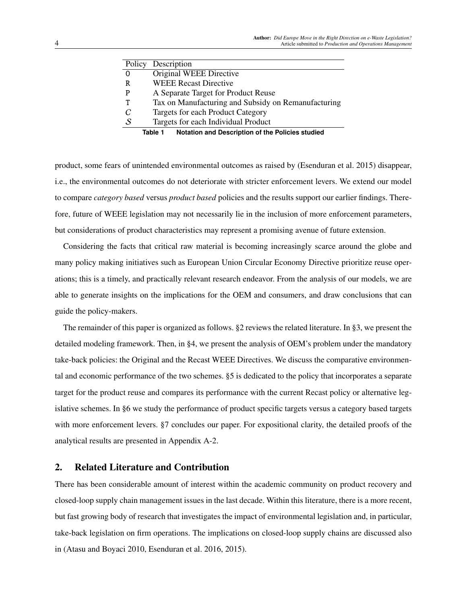<span id="page-3-0"></span>

| Policy | Description                                                 |
|--------|-------------------------------------------------------------|
|        | Original WEEE Directive                                     |
| R      | <b>WEEE Recast Directive</b>                                |
| P      | A Separate Target for Product Reuse                         |
|        | Tax on Manufacturing and Subsidy on Remanufacturing         |
| C      | Targets for each Product Category                           |
| S      | Targets for each Individual Product                         |
|        | Notation and Description of the Policies studied<br>Table 1 |

product, some fears of unintended environmental outcomes as raised by [\(Esenduran et al.](#page-29-3) [2015\)](#page-29-3) disappear, i.e., the environmental outcomes do not deteriorate with stricter enforcement levers. We extend our model to compare *category based* versus *product based* policies and the results support our earlier findings. Therefore, future of WEEE legislation may not necessarily lie in the inclusion of more enforcement parameters, but considerations of product characteristics may represent a promising avenue of future extension.

Considering the facts that critical raw material is becoming increasingly scarce around the globe and many policy making initiatives such as European Union Circular Economy Directive prioritize reuse operations; this is a timely, and practically relevant research endeavor. From the analysis of our models, we are able to generate insights on the implications for the OEM and consumers, and draw conclusions that can guide the policy-makers.

The remainder of this paper is organized as follows. §2 reviews the related literature. In §3, we present the detailed modeling framework. Then, in §4, we present the analysis of OEM's problem under the mandatory take-back policies: the Original and the Recast WEEE Directives. We discuss the comparative environmental and economic performance of the two schemes. §5 is dedicated to the policy that incorporates a separate target for the product reuse and compares its performance with the current Recast policy or alternative legislative schemes. In §6 we study the performance of product specific targets versus a category based targets with more enforcement levers. §7 concludes our paper. For expositional clarity, the detailed proofs of the analytical results are presented in Appendix A-2.

# 2. Related Literature and Contribution

There has been considerable amount of interest within the academic community on product recovery and closed-loop supply chain management issues in the last decade. Within this literature, there is a more recent, but fast growing body of research that investigates the impact of environmental legislation and, in particular, take-back legislation on firm operations. The implications on closed-loop supply chains are discussed also in [\(Atasu and Boyaci](#page-29-4) [2010,](#page-29-4) [Esenduran et al.](#page-29-5) [2016,](#page-29-5) [2015\)](#page-29-3).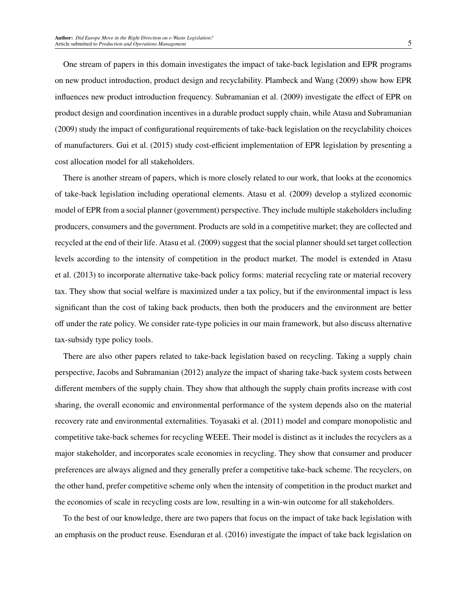One stream of papers in this domain investigates the impact of take-back legislation and EPR programs on new product introduction, product design and recyclability. [Plambeck and Wang](#page-30-2) [\(2009\)](#page-30-2) show how EPR influences new product introduction frequency. [Subramanian et al.](#page-31-0) [\(2009\)](#page-31-0) investigate the effect of EPR on product design and coordination incentives in a durable product supply chain, while [Atasu and Subramanian](#page-29-6) [\(2009\)](#page-29-6) study the impact of configurational requirements of take-back legislation on the recyclability choices of manufacturers. [Gui et al.](#page-30-3) [\(2015\)](#page-30-3) study cost-efficient implementation of EPR legislation by presenting a cost allocation model for all stakeholders.

There is another stream of papers, which is more closely related to our work, that looks at the economics of take-back legislation including operational elements. [Atasu et al.](#page-29-7) [\(2009\)](#page-29-7) develop a stylized economic model of EPR from a social planner (government) perspective. They include multiple stakeholders including producers, consumers and the government. Products are sold in a competitive market; they are collected and recycled at the end of their life. [Atasu et al.](#page-29-7) [\(2009\)](#page-29-7) suggest that the social planner should set target collection levels according to the intensity of competition in the product market. The model is extended in [Atasu](#page-29-8) [et al.](#page-29-8) [\(2013\)](#page-29-8) to incorporate alternative take-back policy forms: material recycling rate or material recovery tax. They show that social welfare is maximized under a tax policy, but if the environmental impact is less significant than the cost of taking back products, then both the producers and the environment are better off under the rate policy. We consider rate-type policies in our main framework, but also discuss alternative tax-subsidy type policy tools.

There are also other papers related to take-back legislation based on recycling. Taking a supply chain perspective, [Jacobs and Subramanian](#page-30-4) [\(2012\)](#page-30-4) analyze the impact of sharing take-back system costs between different members of the supply chain. They show that although the supply chain profits increase with cost sharing, the overall economic and environmental performance of the system depends also on the material recovery rate and environmental externalities. [Toyasaki et al.](#page-31-1) [\(2011\)](#page-31-1) model and compare monopolistic and competitive take-back schemes for recycling WEEE. Their model is distinct as it includes the recyclers as a major stakeholder, and incorporates scale economies in recycling. They show that consumer and producer preferences are always aligned and they generally prefer a competitive take-back scheme. The recyclers, on the other hand, prefer competitive scheme only when the intensity of competition in the product market and the economies of scale in recycling costs are low, resulting in a win-win outcome for all stakeholders.

To the best of our knowledge, there are two papers that focus on the impact of take back legislation with an emphasis on the product reuse. [Esenduran et al.](#page-29-5) [\(2016\)](#page-29-5) investigate the impact of take back legislation on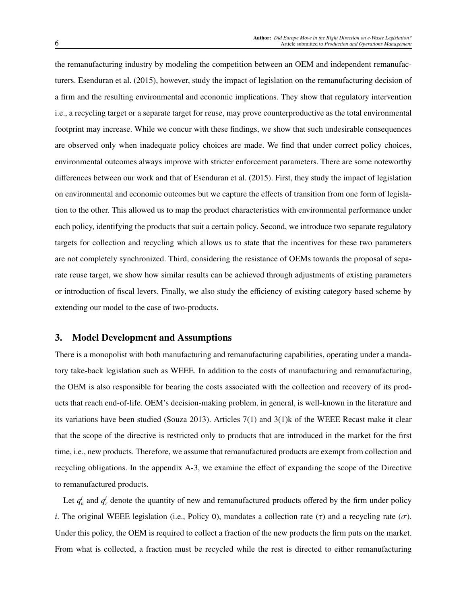the remanufacturing industry by modeling the competition between an OEM and independent remanufacturers. [Esenduran et al.](#page-29-3) [\(2015\)](#page-29-3), however, study the impact of legislation on the remanufacturing decision of a firm and the resulting environmental and economic implications. They show that regulatory intervention i.e., a recycling target or a separate target for reuse, may prove counterproductive as the total environmental footprint may increase. While we concur with these findings, we show that such undesirable consequences are observed only when inadequate policy choices are made. We find that under correct policy choices, environmental outcomes always improve with stricter enforcement parameters. There are some noteworthy differences between our work and that of [Esenduran et al.](#page-29-3) [\(2015\)](#page-29-3). First, they study the impact of legislation on environmental and economic outcomes but we capture the effects of transition from one form of legislation to the other. This allowed us to map the product characteristics with environmental performance under each policy, identifying the products that suit a certain policy. Second, we introduce two separate regulatory targets for collection and recycling which allows us to state that the incentives for these two parameters are not completely synchronized. Third, considering the resistance of OEMs towards the proposal of separate reuse target, we show how similar results can be achieved through adjustments of existing parameters or introduction of fiscal levers. Finally, we also study the efficiency of existing category based scheme by extending our model to the case of two-products.

# 3. Model Development and Assumptions

There is a monopolist with both manufacturing and remanufacturing capabilities, operating under a mandatory take-back legislation such as WEEE. In addition to the costs of manufacturing and remanufacturing, the OEM is also responsible for bearing the costs associated with the collection and recovery of its products that reach end-of-life. OEM's decision-making problem, in general, is well-known in the literature and its variations have been studied [\(Souza](#page-30-5) [2013\)](#page-30-5). Articles  $7(1)$  and  $3(1)$ k of the WEEE Recast make it clear that the scope of the directive is restricted only to products that are introduced in the market for the first time, i.e., new products. Therefore, we assume that remanufactured products are exempt from collection and recycling obligations. In the appendix A-3, we examine the effect of expanding the scope of the Directive to remanufactured products.

Let  $q_n^i$  and  $q_r^i$  denote the quantity of new and remanufactured products offered by the firm under policy *i*. The original WEEE legislation (i.e., Policy 0), mandates a collection rate  $(\tau)$  and a recycling rate  $(\sigma)$ . Under this policy, the OEM is required to collect a fraction of the new products the firm puts on the market. From what is collected, a fraction must be recycled while the rest is directed to either remanufacturing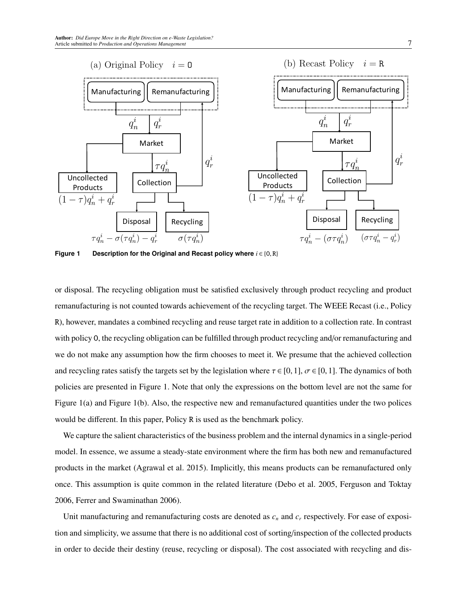

<span id="page-6-0"></span>**Figure 1 Description for the Original and Recast policy where** *<sup>i</sup>* ∈ {O, <sup>R</sup>}

or disposal. The recycling obligation must be satisfied exclusively through product recycling and product remanufacturing is not counted towards achievement of the recycling target. The WEEE Recast (i.e., Policy R), however, mandates a combined recycling and reuse target rate in addition to a collection rate. In contrast with policy O, the recycling obligation can be fulfilled through product recycling and/or remanufacturing and we do not make any assumption how the firm chooses to meet it. We presume that the achieved collection and recycling rates satisfy the targets set by the legislation where  $\tau \in [0, 1]$ ,  $\sigma \in [0, 1]$ . The dynamics of both policies are presented in Figure [1.](#page-6-0) Note that only the expressions on the bottom level are not the same for Figure [1\(](#page-6-0)a) and Figure [1\(](#page-6-0)b). Also, the respective new and remanufactured quantities under the two polices would be different. In this paper, Policy R is used as the benchmark policy.

We capture the salient characteristics of the business problem and the internal dynamics in a single-period model. In essence, we assume a steady-state environment where the firm has both new and remanufactured products in the market [\(Agrawal et al.](#page-29-9) [2015\)](#page-29-9). Implicitly, this means products can be remanufactured only once. This assumption is quite common in the related literature [\(Debo et al.](#page-29-10) [2005,](#page-29-10) [Ferguson and Toktay](#page-29-11) [2006,](#page-29-11) [Ferrer and Swaminathan](#page-29-12) [2006\)](#page-29-12).

Unit manufacturing and remanufacturing costs are denoted as  $c_n$  and  $c_r$  respectively. For ease of exposition and simplicity, we assume that there is no additional cost of sorting/inspection of the collected products in order to decide their destiny (reuse, recycling or disposal). The cost associated with recycling and dis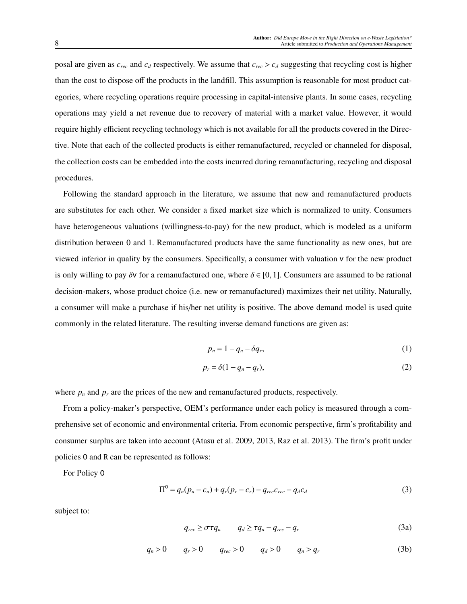posal are given as  $c_{rec}$  and  $c_d$  respectively. We assume that  $c_{rec} > c_d$  suggesting that recycling cost is higher than the cost to dispose off the products in the landfill. This assumption is reasonable for most product categories, where recycling operations require processing in capital-intensive plants. In some cases, recycling operations may yield a net revenue due to recovery of material with a market value. However, it would require highly efficient recycling technology which is not available for all the products covered in the Directive. Note that each of the collected products is either remanufactured, recycled or channeled for disposal, the collection costs can be embedded into the costs incurred during remanufacturing, recycling and disposal procedures.

Following the standard approach in the literature, we assume that new and remanufactured products are substitutes for each other. We consider a fixed market size which is normalized to unity. Consumers have heterogeneous valuations (willingness-to-pay) for the new product, which is modeled as a uniform distribution between 0 and 1. Remanufactured products have the same functionality as new ones, but are viewed inferior in quality by the consumers. Specifically, a consumer with valuation v for the new product is only willing to pay δv for a remanufactured one, where  $\delta \in [0, 1]$ . Consumers are assumed to be rational decision-makers, whose product choice (i.e. new or remanufactured) maximizes their net utility. Naturally, a consumer will make a purchase if his/her net utility is positive. The above demand model is used quite commonly in the related literature. The resulting inverse demand functions are given as:

$$
p_n = 1 - q_n - \delta q_r,\tag{1}
$$

$$
p_r = \delta(1 - q_n - q_r),\tag{2}
$$

where  $p_n$  and  $p_r$  are the prices of the new and remanufactured products, respectively.

From a policy-maker's perspective, OEM's performance under each policy is measured through a comprehensive set of economic and environmental criteria. From economic perspective, firm's profitability and consumer surplus are taken into account [\(Atasu et al.](#page-29-7) [2009,](#page-29-7) [2013,](#page-29-8) [Raz et al.](#page-30-6) [2013\)](#page-30-6). The firm's profit under policies O and R can be represented as follows:

<span id="page-7-0"></span>For Policy O

<span id="page-7-1"></span>
$$
\Pi^{0} = q_{n}(p_{n} - c_{n}) + q_{r}(p_{r} - c_{r}) - q_{rec}c_{rec} - q_{d}c_{d}
$$
\n(3)

subject to:

$$
q_{rec} \geq \sigma \tau q_n \qquad q_d \geq \tau q_n - q_{rec} - q_r \tag{3a}
$$

<span id="page-7-2"></span>
$$
q_n > 0 \qquad q_r > 0 \qquad q_{\text{rec}} > 0 \qquad q_d > 0 \qquad q_n > q_r \tag{3b}
$$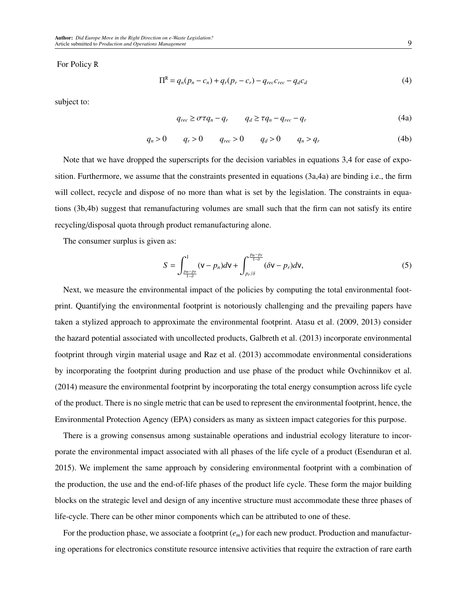<span id="page-8-0"></span>For Policy R

<span id="page-8-1"></span>
$$
\Pi^R = q_n(p_n - c_n) + q_r(p_r - c_r) - q_{rec}c_{rec} - q_d c_d \tag{4}
$$

subject to:

$$
q_{rec} \geq \sigma \tau q_n - q_r \qquad q_d \geq \tau q_n - q_{rec} - q_r \tag{4a}
$$

<span id="page-8-2"></span>
$$
q_n > 0 \qquad q_r > 0 \qquad q_{rec} > 0 \qquad q_d > 0 \qquad q_n > q_r \tag{4b}
$$

Note that we have dropped the superscripts for the decision variables in equations 3,4 for ease of exposition. Furthermore, we assume that the constraints presented in equations [\(3a](#page-7-1)[,4a\)](#page-8-1) are binding i.e., the firm will collect, recycle and dispose of no more than what is set by the legislation. The constraints in equations [\(3b,](#page-7-2)[4b\)](#page-8-2) suggest that remanufacturing volumes are small such that the firm can not satisfy its entire recycling/disposal quota through product remanufacturing alone.

The consumer surplus is given as:

$$
S = \int_{\frac{p_n - p_r}{1 - \delta}}^1 (\mathsf{v} - p_n) d\mathsf{v} + \int_{p_r/\delta}^{\frac{p_n - p_r}{1 - \delta}} (\delta \mathsf{v} - p_r) d\mathsf{v},\tag{5}
$$

Next, we measure the environmental impact of the policies by computing the total environmental footprint. Quantifying the environmental footprint is notoriously challenging and the prevailing papers have taken a stylized approach to approximate the environmental footprint. [Atasu et al.](#page-29-7) [\(2009,](#page-29-7) [2013\)](#page-29-8) consider the hazard potential associated with uncollected products, [Galbreth et al.](#page-29-13) [\(2013\)](#page-29-13) incorporate environmental footprint through virgin material usage and [Raz et al.](#page-30-6) [\(2013\)](#page-30-6) accommodate environmental considerations by incorporating the footprint during production and use phase of the product while [Ovchinnikov et al.](#page-30-7) [\(2014\)](#page-30-7) measure the environmental footprint by incorporating the total energy consumption across life cycle of the product. There is no single metric that can be used to represent the environmental footprint, hence, the Environmental Protection Agency (EPA) considers as many as sixteen impact categories for this purpose.

There is a growing consensus among sustainable operations and industrial ecology literature to incorporate the environmental impact associated with all phases of the life cycle of a product [\(Esenduran et al.](#page-29-3) [2015\)](#page-29-3). We implement the same approach by considering environmental footprint with a combination of the production, the use and the end-of-life phases of the product life cycle. These form the major building blocks on the strategic level and design of any incentive structure must accommodate these three phases of life-cycle. There can be other minor components which can be attributed to one of these.

For the production phase, we associate a footprint (*em*) for each new product. Production and manufacturing operations for electronics constitute resource intensive activities that require the extraction of rare earth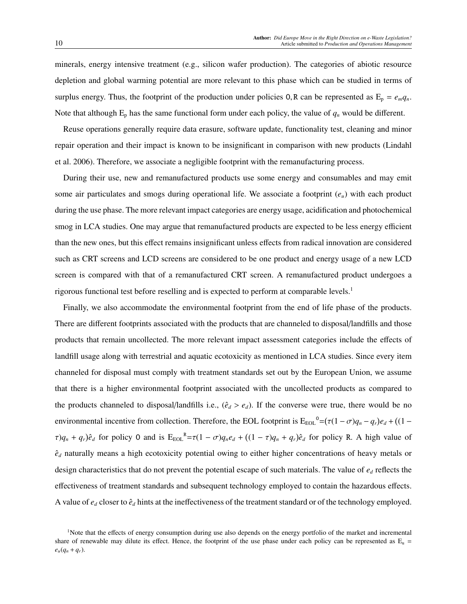minerals, energy intensive treatment (e.g., silicon wafer production). The categories of abiotic resource depletion and global warming potential are more relevant to this phase which can be studied in terms of surplus energy. Thus, the footprint of the production under policies 0, R can be represented as  $E_p = e_m q_n$ . Note that although  $E_p$  has the same functional form under each policy, the value of  $q_n$  would be different.

Reuse operations generally require data erasure, software update, functionality test, cleaning and minor repair operation and their impact is known to be insignificant in comparison with new products [\(Lindahl](#page-30-8) [et al.](#page-30-8) [2006\)](#page-30-8). Therefore, we associate a negligible footprint with the remanufacturing process.

During their use, new and remanufactured products use some energy and consumables and may emit some air particulates and smogs during operational life. We associate a footprint (*eu*) with each product during the use phase. The more relevant impact categories are energy usage, acidification and photochemical smog in LCA studies. One may argue that remanufactured products are expected to be less energy efficient than the new ones, but this effect remains insignificant unless effects from radical innovation are considered such as CRT screens and LCD screens are considered to be one product and energy usage of a new LCD screen is compared with that of a remanufactured CRT screen. A remanufactured product undergoes a rigorous functional test before reselling and is expected to perform at comparable levels.[1](#page-9-0)

Finally, we also accommodate the environmental footprint from the end of life phase of the products. There are different footprints associated with the products that are channeled to disposal/landfills and those products that remain uncollected. The more relevant impact assessment categories include the effects of landfill usage along with terrestrial and aquatic ecotoxicity as mentioned in LCA studies. Since every item channeled for disposal must comply with treatment standards set out by the European Union, we assume that there is a higher environmental footprint associated with the uncollected products as compared to the products channeled to disposal/landfills i.e.,  $(\hat{e}_d > e_d)$ . If the converse were true, there would be no environmental incentive from collection. Therefore, the EOL footprint is  $E_{EOL}^o = (\tau(1 - \sigma)q_n - q_r)e_d + ((1 - \tau)q_n - q_r)e_d$  $\tau$ )*q<sub>n</sub>* + *q<sub>r</sub>*) $\hat{e}_d$  for policy 0 and is  $E_{\text{EOL}}^R = \tau(1 - \sigma)q_n e_d + ((1 - \tau)q_n + q_r)\hat{e}_d$  for policy R. A high value of  $\hat{e}_d$  naturally means a high ecotoxicity potential owing to either higher concentrations of heavy metals or design characteristics that do not prevent the potential escape of such materials. The value of *e<sup>d</sup>* reflects the effectiveness of treatment standards and subsequent technology employed to contain the hazardous effects. A value of  $e_d$  closer to  $\hat{e}_d$  hints at the ineffectiveness of the treatment standard or of the technology employed.

<span id="page-9-0"></span><sup>&</sup>lt;sup>1</sup>Note that the effects of energy consumption during use also depends on the energy portfolio of the market and incremental share of renewable may dilute its effect. Hence, the footprint of the use phase under each policy can be represented as  $E_u$  =  $e_u(q_n+q_r).$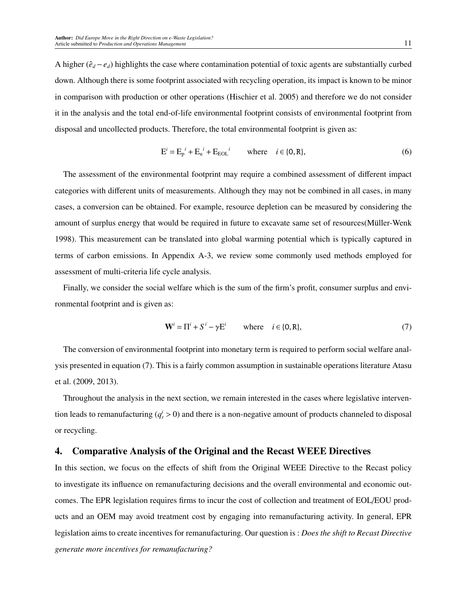A higher ( $\hat{e}_d - e_d$ ) highlights the case where contamination potential of toxic agents are substantially curbed down. Although there is some footprint associated with recycling operation, its impact is known to be minor in comparison with production or other operations [\(Hischier et al.](#page-30-9) [2005\)](#page-30-9) and therefore we do not consider it in the analysis and the total end-of-life environmental footprint consists of environmental footprint from disposal and uncollected products. Therefore, the total environmental footprint is given as:

<span id="page-10-1"></span>
$$
Ei = Epi + Eui + EEOLi \qquad \text{where} \quad i \in \{0, R\},
$$
 (6)

The assessment of the environmental footprint may require a combined assessment of different impact categories with different units of measurements. Although they may not be combined in all cases, in many cases, a conversion can be obtained. For example, resource depletion can be measured by considering the amount of surplus energy that would be required in future to excavate same set of resources(Müller-Wenk [1998\)](#page-30-10). This measurement can be translated into global warming potential which is typically captured in terms of carbon emissions. In Appendix A-3, we review some commonly used methods employed for assessment of multi-criteria life cycle analysis.

Finally, we consider the social welfare which is the sum of the firm's profit, consumer surplus and environmental footprint and is given as:

<span id="page-10-0"></span>
$$
\mathbf{W}^{i} = \Pi^{i} + S^{i} - \gamma \mathbf{E}^{i} \qquad \text{where} \quad i \in \{0, \mathbb{R}\},\tag{7}
$$

The conversion of environmental footprint into monetary term is required to perform social welfare analysis presented in equation [\(7\)](#page-10-0). This is a fairly common assumption in sustainable operations literature [Atasu](#page-29-7) [et al.](#page-29-7) [\(2009,](#page-29-7) [2013\)](#page-29-8).

Throughout the analysis in the next section, we remain interested in the cases where legislative intervention leads to remanufacturing  $(q_r^i > 0)$  and there is a non-negative amount of products channeled to disposal or recycling.

# 4. Comparative Analysis of the Original and the Recast WEEE Directives

In this section, we focus on the effects of shift from the Original WEEE Directive to the Recast policy to investigate its influence on remanufacturing decisions and the overall environmental and economic outcomes. The EPR legislation requires firms to incur the cost of collection and treatment of EOL/EOU products and an OEM may avoid treatment cost by engaging into remanufacturing activity. In general, EPR legislation aims to create incentives for remanufacturing. Our question is : *Does the shift to Recast Directive generate more incentives for remanufacturing?*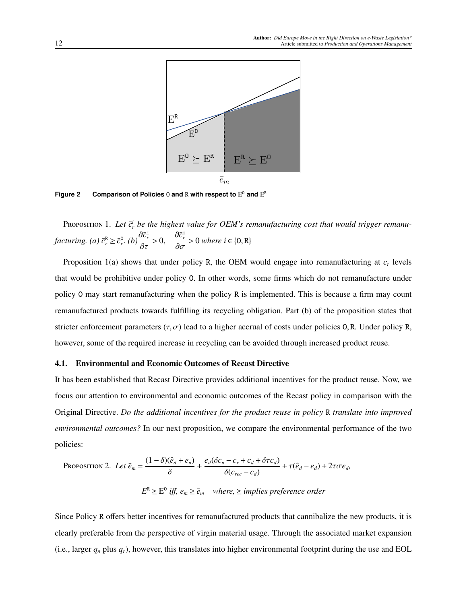

<span id="page-11-1"></span>Figure 2 Comparison of Policies 0 and R with respect to  $E^0$  and  $E^R$ 

Proposition 1. Let  $\bar{c}_r^i$  be the highest value for OEM's remanufacturing cost that would trigger remanu*facturing. (a)*  $\bar{c}_r^R \ge \bar{c}_r^0$ . (*b*)  $\frac{\partial \bar{c}_r^i}{\partial \tau} > 0$ ,  $\frac{\partial \bar{c}_r^i}{\partial \sigma} > 0$  *where*  $i \in \{0, R\}$ 

Proposition 1(a) shows that under policy R, the OEM would engage into remanufacturing at *c<sup>r</sup>* levels that would be prohibitive under policy O. In other words, some firms which do not remanufacture under policy O may start remanufacturing when the policy R is implemented. This is because a firm may count remanufactured products towards fulfilling its recycling obligation. Part (b) of the proposition states that stricter enforcement parameters  $(\tau, \sigma)$  lead to a higher accrual of costs under policies O, R. Under policy R, however, some of the required increase in recycling can be avoided through increased product reuse.

#### 4.1. Environmental and Economic Outcomes of Recast Directive

It has been established that Recast Directive provides additional incentives for the product reuse. Now, we focus our attention to environmental and economic outcomes of the Recast policy in comparison with the Original Directive. *Do the additional incentives for the product reuse in policy* R *translate into improved environmental outcomes?* In our next proposition, we compare the environmental performance of the two policies:

<span id="page-11-0"></span>PROPOSITION 2. Let 
$$
\bar{e}_m = \frac{(1 - \delta)(\hat{e}_d + e_u)}{\delta} + \frac{e_d(\delta c_n - c_r + c_d + \delta \tau c_d)}{\delta(c_{rec} - c_d)} + \tau(\hat{e}_d - e_d) + 2\tau \sigma e_d
$$
,

 $E^{\text{R}} \geq E^0$  *iff,*  $e_m \geq \overline{e}_m$  *where,*  $\geq$  *implies preference order* 

Since Policy R offers better incentives for remanufactured products that cannibalize the new products, it is clearly preferable from the perspective of virgin material usage. Through the associated market expansion (i.e., larger  $q_n$  plus  $q_r$ ), however, this translates into higher environmental footprint during the use and EOL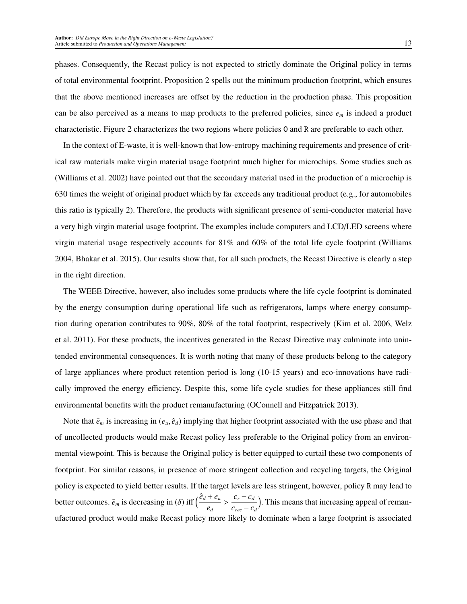phases. Consequently, the Recast policy is not expected to strictly dominate the Original policy in terms of total environmental footprint. Proposition [2](#page-11-0) spells out the minimum production footprint, which ensures that the above mentioned increases are offset by the reduction in the production phase. This proposition can be also perceived as a means to map products to the preferred policies, since  $e_m$  is indeed a product characteristic. Figure [2](#page-11-1) characterizes the two regions where policies O and R are preferable to each other.

In the context of E-waste, it is well-known that low-entropy machining requirements and presence of critical raw materials make virgin material usage footprint much higher for microchips. Some studies such as [\(Williams et al.](#page-31-2) [2002\)](#page-31-2) have pointed out that the secondary material used in the production of a microchip is 630 times the weight of original product which by far exceeds any traditional product (e.g., for automobiles this ratio is typically 2). Therefore, the products with significant presence of semi-conductor material have a very high virgin material usage footprint. The examples include computers and LCD/LED screens where virgin material usage respectively accounts for 81% and 60% of the total life cycle footprint [\(Williams](#page-31-3) [2004,](#page-31-3) [Bhakar et al.](#page-29-14) [2015\)](#page-29-14). Our results show that, for all such products, the Recast Directive is clearly a step in the right direction.

The WEEE Directive, however, also includes some products where the life cycle footprint is dominated by the energy consumption during operational life such as refrigerators, lamps where energy consumption during operation contributes to 90%, 80% of the total footprint, respectively [\(Kim et al.](#page-30-11) [2006,](#page-30-11) [Welz](#page-31-4) [et al.](#page-31-4) [2011\)](#page-31-4). For these products, the incentives generated in the Recast Directive may culminate into unintended environmental consequences. It is worth noting that many of these products belong to the category of large appliances where product retention period is long (10-15 years) and eco-innovations have radically improved the energy efficiency. Despite this, some life cycle studies for these appliances still find environmental benefits with the product remanufacturing [\(OConnell and Fitzpatrick](#page-30-12) [2013\)](#page-30-12).

Note that  $\bar{e}_m$  is increasing in  $(e_u, \hat{e}_d)$  implying that higher footprint associated with the use phase and that of uncollected products would make Recast policy less preferable to the Original policy from an environmental viewpoint. This is because the Original policy is better equipped to curtail these two components of footprint. For similar reasons, in presence of more stringent collection and recycling targets, the Original policy is expected to yield better results. If the target levels are less stringent, however, policy R may lead to better outcomes.  $\bar{e}_m$  is decreasing in ( $\delta$ ) iff  $\left(\frac{\hat{e}_d + e_u}{e_d}\right)$  $e_d$  $c_r - c_d$  $c_{rec} - c_d$  . This means that increasing appeal of remanufactured product would make Recast policy more likely to dominate when a large footprint is associated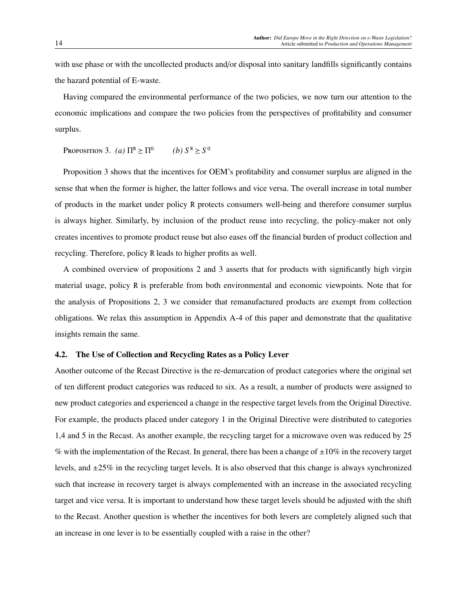with use phase or with the uncollected products and/or disposal into sanitary landfills significantly contains the hazard potential of E-waste.

Having compared the environmental performance of the two policies, we now turn our attention to the economic implications and compare the two policies from the perspectives of profitability and consumer surplus.

<span id="page-13-0"></span>Proposition 3. *(a)*  $\Pi^R \geq \Pi^0$ (*b*)  $S^R \ge S^0$ 

Proposition [3](#page-13-0) shows that the incentives for OEM's profitability and consumer surplus are aligned in the sense that when the former is higher, the latter follows and vice versa. The overall increase in total number of products in the market under policy R protects consumers well-being and therefore consumer surplus is always higher. Similarly, by inclusion of the product reuse into recycling, the policy-maker not only creates incentives to promote product reuse but also eases off the financial burden of product collection and recycling. Therefore, policy R leads to higher profits as well.

A combined overview of propositions [2](#page-11-0) and [3](#page-13-0) asserts that for products with significantly high virgin material usage, policy R is preferable from both environmental and economic viewpoints. Note that for the analysis of Propositions [2,](#page-11-0) [3](#page-13-0) we consider that remanufactured products are exempt from collection obligations. We relax this assumption in Appendix A-4 of this paper and demonstrate that the qualitative insights remain the same.

# 4.2. The Use of Collection and Recycling Rates as a Policy Lever

<span id="page-13-1"></span>Another outcome of the Recast Directive is the re-demarcation of product categories where the original set of ten different product categories was reduced to six. As a result, a number of products were assigned to new product categories and experienced a change in the respective target levels from the Original Directive. For example, the products placed under category 1 in the Original Directive were distributed to categories 1,4 and 5 in the Recast. As another example, the recycling target for a microwave oven was reduced by 25 % with the implementation of the Recast. In general, there has been a change of  $\pm 10\%$  in the recovery target levels, and ±25% in the recycling target levels. It is also observed that this change is always synchronized such that increase in recovery target is always complemented with an increase in the associated recycling target and vice versa. It is important to understand how these target levels should be adjusted with the shift to the Recast. Another question is whether the incentives for both levers are completely aligned such that an increase in one lever is to be essentially coupled with a raise in the other?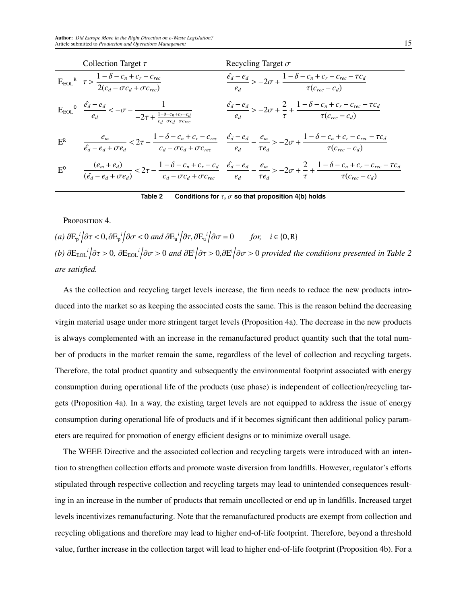| Collection Target $\tau$                                                                                                                       | Recycling Target $\sigma$                                                                                                                                                                                                                                                                                                        |
|------------------------------------------------------------------------------------------------------------------------------------------------|----------------------------------------------------------------------------------------------------------------------------------------------------------------------------------------------------------------------------------------------------------------------------------------------------------------------------------|
| $E_{EOL}^{R} \quad \tau > \frac{1-\delta-c_n+c_r-c_{rec}}{2(c_d-\sigma c_d+\sigma c_{rec})}$                                                   | $\frac{\hat{e}_d - e_d}{e_d} > -2\sigma + \frac{1 - \delta - c_n + c_r - c_{rec} - \tau c_d}{\tau (c_{rec} - c_d)}$                                                                                                                                                                                                              |
| $E_{EOL}$ <sup>0</sup> $\frac{e_d - e_d}{e_d} < -\sigma - \frac{1}{-2\tau + \frac{1-\delta - c_n + c_r - c_d}{c_1 - \sigma c_1 - \sigma c_d}}$ | $\frac{\dot{e_d} - e_d}{e_d} > -2\sigma + \frac{2}{\tau} + \frac{1 - \delta - c_n + c_r - c_{rec} - \tau c_d}{\tau (c_{rec} - c_d)}$                                                                                                                                                                                             |
|                                                                                                                                                | $\begin{aligned} E^{\text{R}} \qquad \frac{e_m}{\hat{e}_d - e_d + \sigma e_d} < 2\tau - \frac{1 - \delta - c_n + c_r - c_{rec}}{c_d - \sigma c_d + \sigma c_{rec}} \quad \frac{\hat{e}_d - e_d}{e_d} - \frac{e_m}{\tau e_d} > -2\sigma + \frac{1 - \delta - c_n + c_r - c_{rec} - \tau c_d}{\tau (c_{rec} - c_d)} \end{aligned}$ |
|                                                                                                                                                | $\mathbf{E}^0 \qquad \frac{(e_m+e_d)}{(\hat{e_d}-e_d+ \sigma e_d)}<2\tau-\frac{1-\delta-c_n+c_r-c_d}{c_d- \sigma c_d+ \sigma c_{rec}} \quad \frac{\hat{e_d}-e_d}{e_d}-\frac{e_m}{\tau e_d}>-2\sigma+\frac{2}{\tau}+\frac{1-\delta-c_n+c_r-c_{rec}-\tau c_d}{\tau (c_{rec}-c_d)}$                                                 |

<span id="page-14-0"></span>**Table 2** Conditions for  $\tau$ ,  $\sigma$  so that proposition 4(b) holds

Proposition 4.

 $f(a) \frac{\partial E_p}{\partial \tau} < 0, \frac{\partial E_p}{\partial \sigma} < 0 \text{ and } \frac{\partial E_u}{\partial \tau} \frac{\partial E_u}{\partial \tau} = 0 \quad \text{for,} \quad i \in \{0, R\}$  $a(b)$   $\partial E_{\text{EOL}}{}^{i}$   $\partial \tau > 0$ ,  $\partial E_{\text{EOL}}{}^{i}$   $\partial \sigma > 0$  and  $\partial E^{i}$   $\partial \tau > 0$ ,  $\partial E^{i}$   $\partial \sigma > 0$  provided the conditions presented in Table [2](#page-14-0) *are satisfied.*

As the collection and recycling target levels increase, the firm needs to reduce the new products introduced into the market so as keeping the associated costs the same. This is the reason behind the decreasing virgin material usage under more stringent target levels (Proposition 4a). The decrease in the new products is always complemented with an increase in the remanufactured product quantity such that the total number of products in the market remain the same, regardless of the level of collection and recycling targets. Therefore, the total product quantity and subsequently the environmental footprint associated with energy consumption during operational life of the products (use phase) is independent of collection/recycling targets (Proposition 4a). In a way, the existing target levels are not equipped to address the issue of energy consumption during operational life of products and if it becomes significant then additional policy parameters are required for promotion of energy efficient designs or to minimize overall usage.

The WEEE Directive and the associated collection and recycling targets were introduced with an intention to strengthen collection efforts and promote waste diversion from landfills. However, regulator's efforts stipulated through respective collection and recycling targets may lead to unintended consequences resulting in an increase in the number of products that remain uncollected or end up in landfills. Increased target levels incentivizes remanufacturing. Note that the remanufactured products are exempt from collection and recycling obligations and therefore may lead to higher end-of-life footprint. Therefore, beyond a threshold value, further increase in the collection target will lead to higher end-of-life footprint (Proposition 4b). For a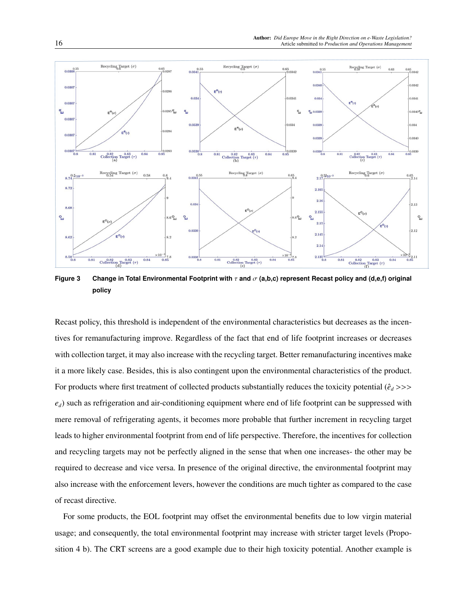

<span id="page-15-0"></span>**Figure 3 Change in Total Environmental Footprint with** τ **and** σ **(a,b,c) represent Recast policy and (d,e,f) original policy**

Recast policy, this threshold is independent of the environmental characteristics but decreases as the incentives for remanufacturing improve. Regardless of the fact that end of life footprint increases or decreases with collection target, it may also increase with the recycling target. Better remanufacturing incentives make it a more likely case. Besides, this is also contingent upon the environmental characteristics of the product. For products where first treatment of collected products substantially reduces the toxicity potential ( $\hat{e}_d$  >>> *ed*) such as refrigeration and air-conditioning equipment where end of life footprint can be suppressed with mere removal of refrigerating agents, it becomes more probable that further increment in recycling target leads to higher environmental footprint from end of life perspective. Therefore, the incentives for collection and recycling targets may not be perfectly aligned in the sense that when one increases- the other may be required to decrease and vice versa. In presence of the original directive, the environmental footprint may also increase with the enforcement levers, however the conditions are much tighter as compared to the case of recast directive.

For some products, the EOL footprint may offset the environmental benefits due to low virgin material usage; and consequently, the total environmental footprint may increase with stricter target levels (Proposition 4 b). The CRT screens are a good example due to their high toxicity potential. Another example is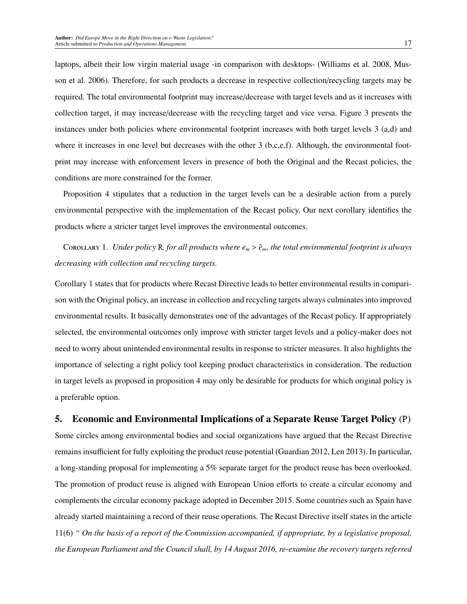laptops, albeit their low virgin material usage -in comparison with desktops- [\(Williams et al.](#page-31-5) [2008,](#page-31-5) [Mus](#page-30-13)[son et al.](#page-30-13) [2006\)](#page-30-13). Therefore, for such products a decrease in respective collection/recycling targets may be required. The total environmental footprint may increase/decrease with target levels and as it increases with collection target, it may increase/decrease with the recycling target and vice versa. Figure [3](#page-15-0) presents the instances under both policies where environmental footprint increases with both target levels [3](#page-15-0) (a,d) and where it increases in one level but decreases with the other [3](#page-15-0) (b,c,e,f). Although, the environmental footprint may increase with enforcement levers in presence of both the Original and the Recast policies, the conditions are more constrained for the former.

<span id="page-16-0"></span>Proposition [4](#page-13-1) stipulates that a reduction in the target levels can be a desirable action from a purely environmental perspective with the implementation of the Recast policy. Our next corollary identifies the products where a stricter target level improves the environmental outcomes.

COROLLARY 1. *Under policy* R, for all products where  $e_m > \bar{e}_m$ , the total environmental footprint is always *decreasing with collection and recycling targets.*

Corollary [1](#page-16-0) states that for products where Recast Directive leads to better environmental results in comparison with the Original policy, an increase in collection and recycling targets always culminates into improved environmental results. It basically demonstrates one of the advantages of the Recast policy. If appropriately selected, the environmental outcomes only improve with stricter target levels and a policy-maker does not need to worry about unintended environmental results in response to stricter measures. It also highlights the importance of selecting a right policy tool keeping product characteristics in consideration. The reduction in target levels as proposed in proposition [4](#page-13-1) may only be desirable for products for which original policy is a preferable option.

# 5. Economic and Environmental Implications of a Separate Reuse Target Policy (P)

Some circles among environmental bodies and social organizations have argued that the Recast Directive remains insufficient for fully exploiting the product reuse potential [\(Guardian](#page-29-2) [2012,](#page-29-2) [Len](#page-30-1) [2013\)](#page-30-1). In particular, a long-standing proposal for implementing a 5% separate target for the product reuse has been overlooked. The promotion of product reuse is aligned with European Union efforts to create a circular economy and complements the circular economy package adopted in December 2015. Some countries such as Spain have already started maintaining a record of their reuse operations. The Recast Directive itself states in the article 11(6) *" On the basis of a report of the Commission accompanied, if appropriate, by a legislative proposal, the European Parliament and the Council shall, by 14 August 2016, re-examine the recovery targets referred*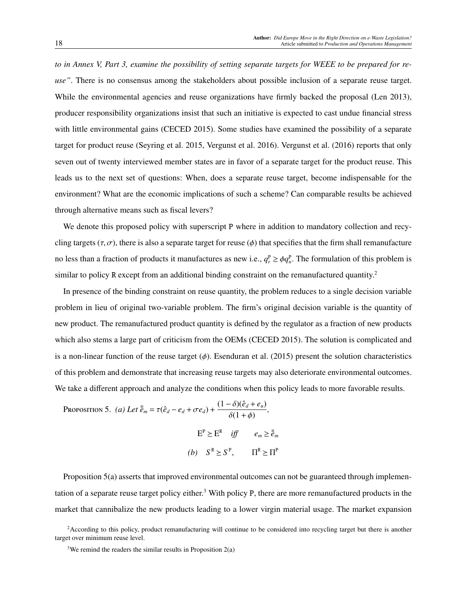*to in Annex V, Part 3, examine the possibility of setting separate targets for WEEE to be prepared for reuse"*. There is no consensus among the stakeholders about possible inclusion of a separate reuse target. While the environmental agencies and reuse organizations have firmly backed the proposal [\(Len](#page-30-1) [2013\)](#page-30-1), producer responsibility organizations insist that such an initiative is expected to cast undue financial stress with little environmental gains [\(CECED](#page-29-15) [2015\)](#page-29-15). Some studies have examined the possibility of a separate target for product reuse [\(Seyring et al.](#page-30-14) [2015,](#page-30-14) [Vergunst et al.](#page-31-6) [2016\)](#page-31-6). [Vergunst et al.](#page-31-6) [\(2016\)](#page-31-6) reports that only seven out of twenty interviewed member states are in favor of a separate target for the product reuse. This leads us to the next set of questions: When, does a separate reuse target, become indispensable for the environment? What are the economic implications of such a scheme? Can comparable results be achieved through alternative means such as fiscal levers?

We denote this proposed policy with superscript P where in addition to mandatory collection and recycling targets ( $\tau$ ,  $\sigma$ ), there is also a separate target for reuse ( $\phi$ ) that specifies that the firm shall remanufacture no less than a fraction of products it manufactures as new i.e.,  $q_r^P \ge \phi q_n^P$ . The formulation of this problem is similar to policy R except from an additional binding constraint on the remanufactured quantity.<sup>[2](#page-17-0)</sup>

In presence of the binding constraint on reuse quantity, the problem reduces to a single decision variable problem in lieu of original two-variable problem. The firm's original decision variable is the quantity of new product. The remanufactured product quantity is defined by the regulator as a fraction of new products which also stems a large part of criticism from the OEMs [\(CECED](#page-29-15) [2015\)](#page-29-15). The solution is complicated and is a non-linear function of the reuse target  $(\phi)$ . [Esenduran et al.](#page-29-3) [\(2015\)](#page-29-3) present the solution characteristics of this problem and demonstrate that increasing reuse targets may also deteriorate environmental outcomes. We take a different approach and analyze the conditions when this policy leads to more favorable results.

Proposition 5. *(a) Let*  $\bar{e}_m = \tau(\hat{e}_d - e_d + \sigma e_d) + \frac{(1 - \delta)(\hat{e}_d + e_u)}{\delta(1 + \phi)}$  $\frac{\delta(1+\phi)}{\delta(1+\phi)},$  $E^P \ge E^R$  *iff*  $e_m \ge \overline{\overline{e}}_m$ (b)  $S^R \geq S^P$ ,  $\Pi^R \geq \Pi^P$ 

Proposition 5(a) asserts that improved environmental outcomes can not be guaranteed through implementation of a separate reuse target policy either.[3](#page-17-1) With policy P, there are more remanufactured products in the market that cannibalize the new products leading to a lower virgin material usage. The market expansion

<span id="page-17-0"></span><sup>&</sup>lt;sup>2</sup>According to this policy, product remanufacturing will continue to be considered into recycling target but there is another target over minimum reuse level.

<span id="page-17-1"></span><sup>&</sup>lt;sup>3</sup>We remind the readers the similar results in Proposition  $2(a)$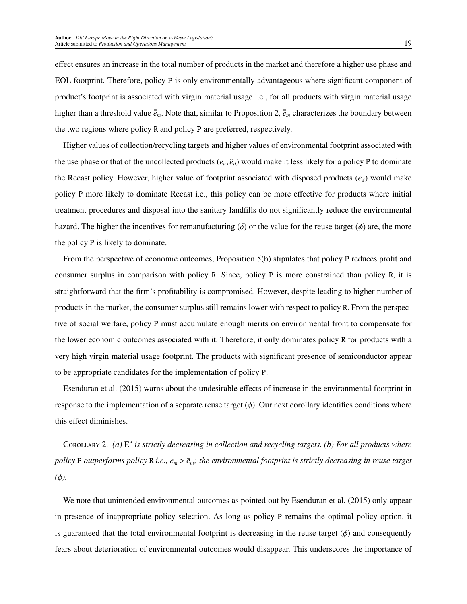effect ensures an increase in the total number of products in the market and therefore a higher use phase and EOL footprint. Therefore, policy P is only environmentally advantageous where significant component of product's footprint is associated with virgin material usage i.e., for all products with virgin material usage higher than a threshold value  $\bar{\bar{e}}_m$ . Note that, similar to Proposition 2,  $\bar{\bar{e}}_m$  characterizes the boundary between the two regions where policy R and policy P are preferred, respectively.

Higher values of collection/recycling targets and higher values of environmental footprint associated with the use phase or that of the uncollected products  $(e_u, \hat{e}_d)$  would make it less likely for a policy P to dominate the Recast policy. However, higher value of footprint associated with disposed products  $(e_d)$  would make policy P more likely to dominate Recast i.e., this policy can be more effective for products where initial treatment procedures and disposal into the sanitary landfills do not significantly reduce the environmental hazard. The higher the incentives for remanufacturing ( $\delta$ ) or the value for the reuse target ( $\phi$ ) are, the more the policy P is likely to dominate.

From the perspective of economic outcomes, Proposition 5(b) stipulates that policy P reduces profit and consumer surplus in comparison with policy R. Since, policy P is more constrained than policy R, it is straightforward that the firm's profitability is compromised. However, despite leading to higher number of products in the market, the consumer surplus still remains lower with respect to policy R. From the perspective of social welfare, policy P must accumulate enough merits on environmental front to compensate for the lower economic outcomes associated with it. Therefore, it only dominates policy R for products with a very high virgin material usage footprint. The products with significant presence of semiconductor appear to be appropriate candidates for the implementation of policy P.

[Esenduran et al.](#page-29-3) [\(2015\)](#page-29-3) warns about the undesirable effects of increase in the environmental footprint in response to the implementation of a separate reuse target  $(\phi)$ . Our next corollary identifies conditions where this effect diminishes.

COROLLARY 2. (a) E<sup>P</sup> is strictly decreasing in collection and recycling targets. (b) For all products where *policy* P *outperforms policy* R *i.e.,*  $e_m > \overline{e}_m$ *; the environmental footprint is strictly decreasing in reuse target (*φ*).*

We note that unintended environmental outcomes as pointed out by [Esenduran et al.](#page-29-3) [\(2015\)](#page-29-3) only appear in presence of inappropriate policy selection. As long as policy P remains the optimal policy option, it is guaranteed that the total environmental footprint is decreasing in the reuse target  $(\phi)$  and consequently fears about deterioration of environmental outcomes would disappear. This underscores the importance of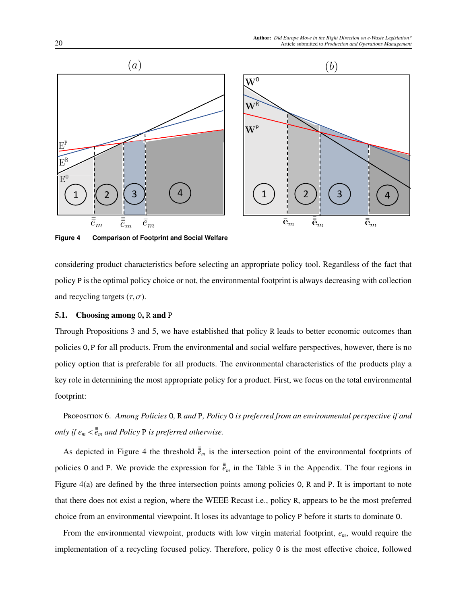

<span id="page-19-0"></span>**Figure 4 Comparison of Footprint and Social Welfare**

considering product characteristics before selecting an appropriate policy tool. Regardless of the fact that policy P is the optimal policy choice or not, the environmental footprint is always decreasing with collection and recycling targets  $(\tau, \sigma)$ .

# 5.1. Choosing among O, R and P

Through Propositions 3 and 5, we have established that policy R leads to better economic outcomes than policies <sup>O</sup>, <sup>P</sup> for all products. From the environmental and social welfare perspectives, however, there is no policy option that is preferable for all products. The environmental characteristics of the products play a key role in determining the most appropriate policy for a product. First, we focus on the total environmental footprint:

Proposition 6. *Among Policies* O*,* R *and* P*, Policy* O *is preferred from an environmental perspective if and only if*  $e_m < \frac{1}{e_m}$  *and Policy* P *is preferred otherwise.* 

As depicted in Figure [4](#page-19-0) the threshold  $\bar{\bar{e}}_m$  is the intersection point of the environmental footprints of policies 0 and P. We provide the expression for  $\bar{\bar{e}}_m$  in the Table [3](#page-32-0) in the Appendix. The four regions in Figure [4\(](#page-19-0)a) are defined by the three intersection points among policies O, R and P. It is important to note that there does not exist a region, where the WEEE Recast i.e., policy R, appears to be the most preferred choice from an environmental viewpoint. It loses its advantage to policy P before it starts to dominate O.

From the environmental viewpoint, products with low virgin material footprint, *em*, would require the implementation of a recycling focused policy. Therefore, policy O is the most effective choice, followed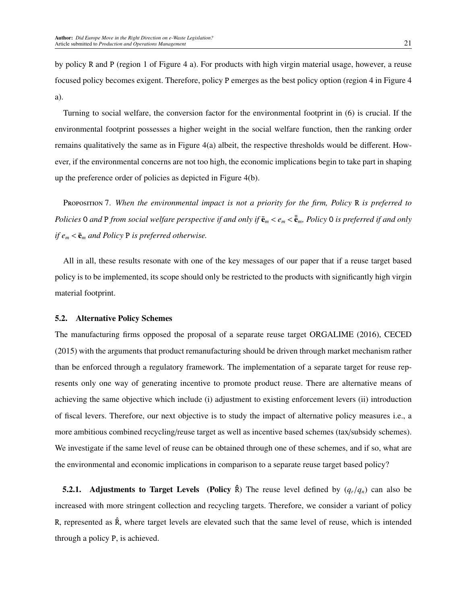by policy R and P (region 1 of Figure [4](#page-19-0) a). For products with high virgin material usage, however, a reuse focused policy becomes exigent. Therefore, policy P emerges as the best policy option (region 4 in Figure [4](#page-19-0) a).

Turning to social welfare, the conversion factor for the environmental footprint in [\(6\)](#page-10-1) is crucial. If the environmental footprint possesses a higher weight in the social welfare function, then the ranking order remains qualitatively the same as in Figure [4\(](#page-19-0)a) albeit, the respective thresholds would be different. However, if the environmental concerns are not too high, the economic implications begin to take part in shaping up the preference order of policies as depicted in Figure [4\(](#page-19-0)b).

Proposition 7. *When the environmental impact is not a priority for the firm, Policy* R *is preferred to Policies* 0 *and* P *from social welfare perspective if and only if*  $\bar{\mathbf{e}}_m < e_m < \bar{\bar{\mathbf{e}}}_m$ *. Policy* 0 *is preferred if and only if*  $e_m < \bar{e}_m$  *and Policy P is preferred otherwise.* 

All in all, these results resonate with one of the key messages of our paper that if a reuse target based policy is to be implemented, its scope should only be restricted to the products with significantly high virgin material footprint.

# 5.2. Alternative Policy Schemes

The manufacturing firms opposed the proposal of a separate reuse target [ORGALIME](#page-30-0) [\(2016\)](#page-30-0), [CECED](#page-29-15) [\(2015\)](#page-29-15) with the arguments that product remanufacturing should be driven through market mechanism rather than be enforced through a regulatory framework. The implementation of a separate target for reuse represents only one way of generating incentive to promote product reuse. There are alternative means of achieving the same objective which include (i) adjustment to existing enforcement levers (ii) introduction of fiscal levers. Therefore, our next objective is to study the impact of alternative policy measures i.e., a more ambitious combined recycling/reuse target as well as incentive based schemes (tax/subsidy schemes). We investigate if the same level of reuse can be obtained through one of these schemes, and if so, what are the environmental and economic implications in comparison to a separate reuse target based policy?

<span id="page-20-0"></span>5.2.1. Adjustments to Target Levels (Policy  $\hat{R}$ ) The reuse level defined by  $(q_r/q_n)$  can also be increased with more stringent collection and recycling targets. Therefore, we consider a variant of policy R, represented as  $\hat{R}$ , where target levels are elevated such that the same level of reuse, which is intended through a policy P, is achieved.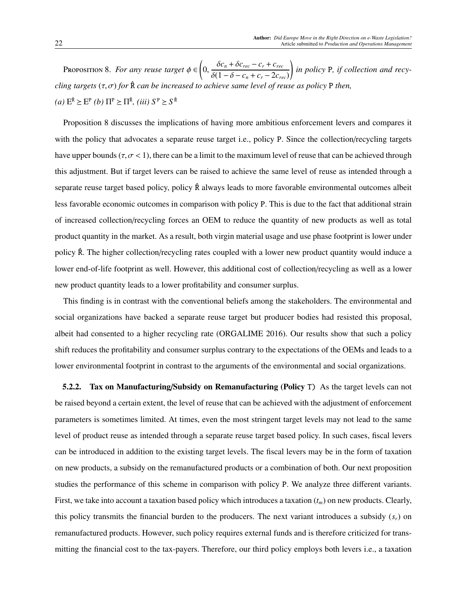Proposition 8. *For any reuse target*  $\phi \in$ 0,  $\frac{\delta c_n + \delta c_{rec} - c_r + c_{rec}}{\delta (1 - \delta - c_n + c_r - 2c_{re}}$  $\delta(1 - \delta - c_n + c_r - 2c_{rec})$ ! *in policy* P*, if collection and recycling targets*  $(\tau, \sigma)$  *for*  $\hat{R}$  *can be increased to achieve same level of reuse as policy* P *then,*  $(a) \mathbb{E}^{\hat{\mathbb{R}}} \geq \mathbb{E}^{\mathbb{P}}(b) \Pi^{\mathbb{P}} \geq \Pi^{\hat{\mathbb{R}}},$  *(iii)*  $S^{\mathbb{P}} \geq S^{\hat{\mathbb{R}}}$ 

Proposition [8](#page-20-0) discusses the implications of having more ambitious enforcement levers and compares it with the policy that advocates a separate reuse target i.e., policy P. Since the collection/recycling targets have upper bounds ( $\tau$ ,  $\sigma$  < 1), there can be a limit to the maximum level of reuse that can be achieved through this adjustment. But if target levers can be raised to achieve the same level of reuse as intended through a separate reuse target based policy, policy  $\hat{R}$  always leads to more favorable environmental outcomes albeit less favorable economic outcomes in comparison with policy P. This is due to the fact that additional strain of increased collection/recycling forces an OEM to reduce the quantity of new products as well as total product quantity in the market. As a result, both virgin material usage and use phase footprint is lower under policy  $\hat{R}$ . The higher collection/recycling rates coupled with a lower new product quantity would induce a lower end-of-life footprint as well. However, this additional cost of collection/recycling as well as a lower new product quantity leads to a lower profitability and consumer surplus.

This finding is in contrast with the conventional beliefs among the stakeholders. The environmental and social organizations have backed a separate reuse target but producer bodies had resisted this proposal, albeit had consented to a higher recycling rate [\(ORGALIME](#page-30-0) [2016\)](#page-30-0). Our results show that such a policy shift reduces the profitability and consumer surplus contrary to the expectations of the OEMs and leads to a lower environmental footprint in contrast to the arguments of the environmental and social organizations.

5.2.2. Tax on Manufacturing/Subsidy on Remanufacturing (Policy T) As the target levels can not be raised beyond a certain extent, the level of reuse that can be achieved with the adjustment of enforcement parameters is sometimes limited. At times, even the most stringent target levels may not lead to the same level of product reuse as intended through a separate reuse target based policy. In such cases, fiscal levers can be introduced in addition to the existing target levels. The fiscal levers may be in the form of taxation on new products, a subsidy on the remanufactured products or a combination of both. Our next proposition studies the performance of this scheme in comparison with policy P. We analyze three different variants. First, we take into account a taxation based policy which introduces a taxation (*tm*) on new products. Clearly, this policy transmits the financial burden to the producers. The next variant introduces a subsidy  $(s_r)$  on remanufactured products. However, such policy requires external funds and is therefore criticized for transmitting the financial cost to the tax-payers. Therefore, our third policy employs both levers i.e., a taxation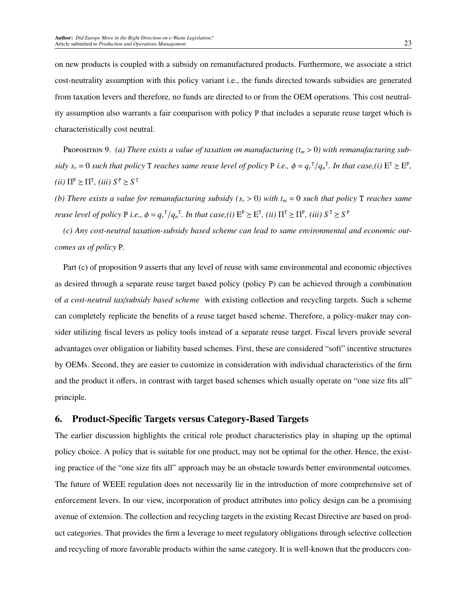on new products is coupled with a subsidy on remanufactured products. Furthermore, we associate a strict cost-neutrality assumption with this policy variant i.e., the funds directed towards subsidies are generated from taxation levers and therefore, no funds are directed to or from the OEM operations. This cost neutrality assumption also warrants a fair comparison with policy P that includes a separate reuse target which is characteristically cost neutral.

<span id="page-22-0"></span>Proposition 9. *(a) There exists a value of taxation on manufacturing (t<sub>m</sub> > 0) with remanufacturing subsidy*  $s_r = 0$  *such that policy* T *reaches same reuse level of policy* P *i.e.*,  $\phi = q_r^T/q_n^T$ . In that case,(i)  $E^T \ge E^P$ ,  $(iii)$   $\Pi^P \geq \Pi^T$ ,  $(iii)$   $S^P \geq S^T$ 

*(b)* There exists a value for remanufacturing subsidy  $(s_r > 0)$  with  $t_m = 0$  such that policy T reaches same *reuse level of policy*  $P$  *i.e.,*  $\phi = q_r^T/q_n^T$ . In that case,(i)  $E^P \ge E^T$ , (ii)  $\Pi^T \ge \Pi^P$ , (iii)  $S^T \ge S^P$ 

*(c) Any cost-neutral taxation-subsidy based scheme can lead to same environmental and economic outcomes as of policy* P*.*

Part (c) of proposition [9](#page-22-0) asserts that any level of reuse with same environmental and economic objectives as desired through a separate reuse target based policy (policy P) can be achieved through a combination of *a cost-neutral tax*/*subsidy based scheme* with existing collection and recycling targets. Such a scheme can completely replicate the benefits of a reuse target based scheme. Therefore, a policy-maker may consider utilizing fiscal levers as policy tools instead of a separate reuse target. Fiscal levers provide several advantages over obligation or liability based schemes. First, these are considered "soft" incentive structures by OEMs. Second, they are easier to customize in consideration with individual characteristics of the firm and the product it offers, in contrast with target based schemes which usually operate on "one size fits all" principle.

# 6. Product-Specific Targets versus Category-Based Targets

The earlier discussion highlights the critical role product characteristics play in shaping up the optimal policy choice. A policy that is suitable for one product, may not be optimal for the other. Hence, the existing practice of the "one size fits all" approach may be an obstacle towards better environmental outcomes. The future of WEEE regulation does not necessarily lie in the introduction of more comprehensive set of enforcement levers. In our view, incorporation of product attributes into policy design can be a promising avenue of extension. The collection and recycling targets in the existing Recast Directive are based on product categories. That provides the firm a leverage to meet regulatory obligations through selective collection and recycling of more favorable products within the same category. It is well-known that the producers con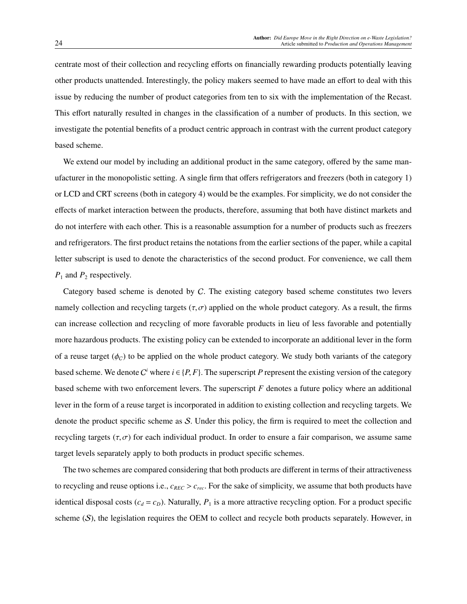centrate most of their collection and recycling efforts on financially rewarding products potentially leaving other products unattended. Interestingly, the policy makers seemed to have made an effort to deal with this issue by reducing the number of product categories from ten to six with the implementation of the Recast. This effort naturally resulted in changes in the classification of a number of products. In this section, we investigate the potential benefits of a product centric approach in contrast with the current product category based scheme.

We extend our model by including an additional product in the same category, offered by the same manufacturer in the monopolistic setting. A single firm that offers refrigerators and freezers (both in category 1) or LCD and CRT screens (both in category 4) would be the examples. For simplicity, we do not consider the effects of market interaction between the products, therefore, assuming that both have distinct markets and do not interfere with each other. This is a reasonable assumption for a number of products such as freezers and refrigerators. The first product retains the notations from the earlier sections of the paper, while a capital letter subscript is used to denote the characteristics of the second product. For convenience, we call them *P*<sub>1</sub> and *P*<sub>2</sub> respectively.

Category based scheme is denoted by C. The existing category based scheme constitutes two levers namely collection and recycling targets ( $\tau$ , $\sigma$ ) applied on the whole product category. As a result, the firms can increase collection and recycling of more favorable products in lieu of less favorable and potentially more hazardous products. The existing policy can be extended to incorporate an additional lever in the form of a reuse target  $(\phi_C)$  to be applied on the whole product category. We study both variants of the category based scheme. We denote  $C^i$  where  $i \in \{P, F\}$ . The superscript *P* represent the existing version of the category based scheme with two enforcement levers. The superscript *F* denotes a future policy where an additional lever in the form of a reuse target is incorporated in addition to existing collection and recycling targets. We denote the product specific scheme as  $S$ . Under this policy, the firm is required to meet the collection and recycling targets  $(\tau, \sigma)$  for each individual product. In order to ensure a fair comparison, we assume same target levels separately apply to both products in product specific schemes.

The two schemes are compared considering that both products are different in terms of their attractiveness to recycling and reuse options i.e., *<sup>c</sup>REC* <sup>&</sup>gt; *<sup>c</sup>rec*. For the sake of simplicity, we assume that both products have identical disposal costs  $(c_d = c_D)$ . Naturally,  $P_1$  is a more attractive recycling option. For a product specific scheme  $(S)$ , the legislation requires the OEM to collect and recycle both products separately. However, in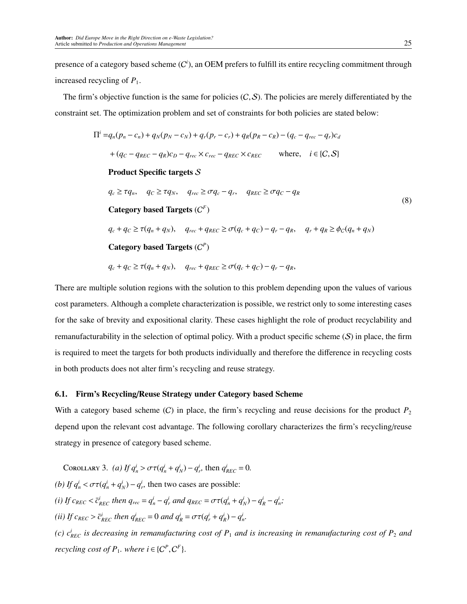presence of a category based scheme (C *i* ), an OEM prefers to fulfill its entire recycling commitment through increased recycling of  $P_1$ .

The firm's objective function is the same for policies  $(C, S)$ . The policies are merely differentiated by the constraint set. The optimization problem and set of constraints for both policies are stated below:

<span id="page-24-1"></span>
$$
\Pi^{i} = q_{n}(p_{n} - c_{n}) + q_{N}(p_{N} - c_{N}) + q_{r}(p_{r} - c_{r}) + q_{R}(p_{R} - c_{R}) - (q_{c} - q_{rec} - q_{r})c_{d}
$$
  
+  $(q_{C} - q_{REC} - q_{R})c_{D} - q_{rec} \times c_{rec} - q_{REC} \times c_{REC}$  where,  $i \in \{C, S\}$   
**Product Specific targets**  $S$   
 $q_{c} \geq \tau q_{n}$ ,  $q_{C} \geq \tau q_{N}$ ,  $q_{rec} \geq \sigma q_{c} - q_{r}$ ,  $q_{REC} \geq \sigma q_{C} - q_{R}$   
**Category based Targets**  $(C^{F})$   
 $q_{c} + q_{C} \geq \tau (q_{n} + q_{N})$ ,  $q_{rec} + q_{REC} \geq \sigma (q_{c} + q_{C}) - q_{r} - q_{R}$ ,  $q_{r} + q_{R} \geq \phi_{C}(q_{n} + q_{N})$   
**Category based Targets**  $(C^{P})$   
 $q_{c} + q_{C} \geq \tau (q_{n} + q_{N})$ ,  $q_{rec} + q_{REC} \geq \sigma (q_{c} + q_{C}) - q_{r} - q_{R}$ , (8)

There are multiple solution regions with the solution to this problem depending upon the values of various cost parameters. Although a complete characterization is possible, we restrict only to some interesting cases for the sake of brevity and expositional clarity. These cases highlight the role of product recyclability and remanufacturability in the selection of optimal policy. With a product specific scheme  $(S)$  in place, the firm is required to meet the targets for both products individually and therefore the difference in recycling costs in both products does not alter firm's recycling and reuse strategy.

# 6.1. Firm's Recycling/Reuse Strategy under Category based Scheme

With a category based scheme  $(C)$  in place, the firm's recycling and reuse decisions for the product  $P_2$ depend upon the relevant cost advantage. The following corollary characterizes the firm's recycling/reuse strategy in presence of category based scheme.

<span id="page-24-0"></span>COROLLARY 3. *(a)* If  $q_n^i > \sigma \tau (q_n^i + q_N^i) - q_r^i$ , then  $q_{REC}^i = 0$ .

*(b)* If  $q_n^i < \sigma \tau (q_n^i + q_N^i) - q_r^i$ , then two cases are possible:

(i) If  $c_{REC} < \bar{c}_{REC}^i$  then  $q_{rec} = q_n^i - q_r^i$  and  $q_{REC} = \sigma \tau (q_n^i + q_N^i) - q_R^i - q_n^i$ ;

(ii) If  $c_{REC} > \bar{c}_{REC}^i$  then  $q_{REC}^i = 0$  and  $q_R^i = \sigma \tau (q_r^i + q_R^i) - q_n^i$ .

*(c)*  $c_{REC}^i$  is decreasing in remanufacturing cost of  $P_1$  and is increasing in remanufacturing cost of  $P_2$  and *recycling cost of*  $P_1$ *. where i*  $\in \{C^P, C^F\}$ *.*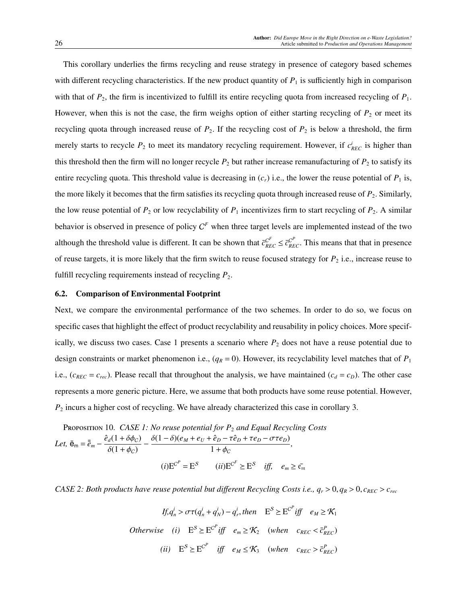This corollary underlies the firms recycling and reuse strategy in presence of category based schemes with different recycling characteristics. If the new product quantity of  $P_1$  is sufficiently high in comparison with that of  $P_2$ , the firm is incentivized to fulfill its entire recycling quota from increased recycling of  $P_1$ . However, when this is not the case, the firm weighs option of either starting recycling of  $P_2$  or meet its recycling quota through increased reuse of  $P_2$ . If the recycling cost of  $P_2$  is below a threshold, the firm merely starts to recycle  $P_2$  to meet its mandatory recycling requirement. However, if  $c_{REC}^i$  is higher than this threshold then the firm will no longer recycle  $P_2$  but rather increase remanufacturing of  $P_2$  to satisfy its entire recycling quota. This threshold value is decreasing in  $(c_r)$  i.e., the lower the reuse potential of  $P_1$  is, the more likely it becomes that the firm satisfies its recycling quota through increased reuse of  $P_2$ . Similarly, the low reuse potential of  $P_2$  or low recyclability of  $P_1$  incentivizes firm to start recycling of  $P_2$ . A similar behavior is observed in presence of policy C *<sup>F</sup>* when three target levels are implemented instead of the two although the threshold value is different. It can be shown that  $\bar{c}^{C^F}_{REC} \leq \bar{c}^{C^P}_{REC}$ . This means that that in presence of reuse targets, it is more likely that the firm switch to reuse focused strategy for  $P_2$  i.e., increase reuse to fulfill recycling requirements instead of recycling  $P_2$ .

### 6.2. Comparison of Environmental Footprint

Next, we compare the environmental performance of the two schemes. In order to do so, we focus on specific cases that highlight the effect of product recyclability and reusability in policy choices. More specifically, we discuss two cases. Case 1 presents a scenario where  $P_2$  does not have a reuse potential due to design constraints or market phenomenon i.e.,  $(q_R = 0)$ . However, its recyclability level matches that of  $P_1$ i.e.,  $(c_{REC} = c_{rec})$ . Please recall that throughout the analysis, we have maintained  $(c_d = c_D)$ . The other case represents a more generic picture. Here, we assume that both products have some reuse potential. However, *P*<sup>2</sup> incurs a higher cost of recycling. We have already characterized this case in corollary 3.

<span id="page-25-0"></span>Proposition 10. *CASE 1: No reuse potential for P*<sup>2</sup> *and Equal Recycling Costs*  $Let, \bar{e}_m = \bar{\bar{e}}_m - \frac{\hat{e}_d(1 + \delta \phi_c)}{s(1 + \bar{e}_m)}$  $\delta(1+\phi_C)$  $-\frac{\delta(1-\delta)(e_M+e_U+\hat{e}_D-\tau\hat{e}_D+\tau e_D-\sigma\tau e_D)}{1+t}$  $\frac{\partial v}{\partial t} + \phi_c$ ,  $\frac{\partial v}{\partial t} + \phi_c$ ,  $(ii)$ **E**<sup>C<sup>*F*</sup></sup> $\geq$ **E**<sup>S</sup> *iff,*  $e_m \geq e_m$ 

*CASE 2: Both products have reuse potential but different Recycling Costs i.e.,*  $q_r > 0$ *,*  $q_R > 0$ *,*  $c_{REC} > c_{rec}$ 

$$
If, q_n^i > \sigma \tau (q_n^i + q_N^i) - q_r^i, then \quad E^S \ge E^{C^P} \text{ iff } e_M \ge \mathcal{K}_1
$$
\n
$$
\text{Otherwise} \quad (i) \quad E^S \ge E^{C^P} \text{ iff } e_m \ge \mathcal{K}_2 \quad (\text{when } c_{REC} < \bar{c}_{REC}^P)
$$
\n
$$
(ii) \quad E^S \ge E^{C^P} \quad \text{iff } e_M \le \mathcal{K}_3 \quad (\text{when } c_{REC} > \bar{c}_{REC}^P)
$$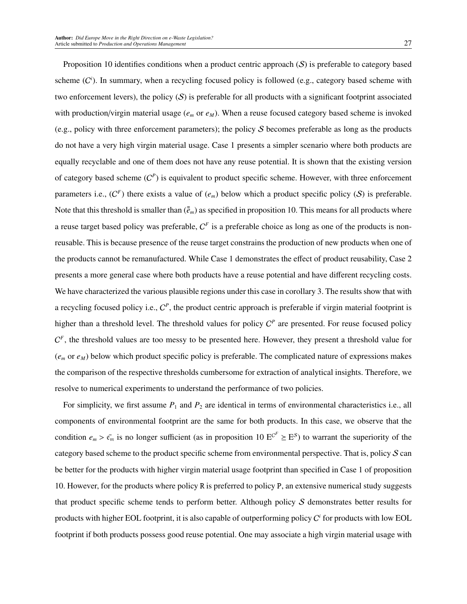Proposition [10](#page-25-0) identifies conditions when a product centric approach  $(S)$  is preferable to category based scheme  $(C<sup>i</sup>)$ . In summary, when a recycling focused policy is followed (e.g., category based scheme with two enforcement levers), the policy  $(S)$  is preferable for all products with a significant footprint associated with production/virgin material usage ( $e_m$  or  $e_M$ ). When a reuse focused category based scheme is invoked (e.g., policy with three enforcement parameters); the policy S becomes preferable as long as the products do not have a very high virgin material usage. Case 1 presents a simpler scenario where both products are equally recyclable and one of them does not have any reuse potential. It is shown that the existing version of category based scheme (C<sup>P</sup>) is equivalent to product specific scheme. However, with three enforcement parameters i.e.,  $(C^F)$  there exists a value of  $(e_m)$  below which a product specific policy  $(S)$  is preferable. Note that this threshold is smaller than  $(\bar{\bar{e}}_m)$  as specified in proposition [10.](#page-25-0) This means for all products where a reuse target based policy was preferable,  $C<sup>F</sup>$  is a preferable choice as long as one of the products is nonreusable. This is because presence of the reuse target constrains the production of new products when one of the products cannot be remanufactured. While Case 1 demonstrates the effect of product reusability, Case 2 presents a more general case where both products have a reuse potential and have different recycling costs. We have characterized the various plausible regions under this case in corollary [3.](#page-24-0) The results show that with a recycling focused policy i.e.,  $C^P$ , the product centric approach is preferable if virgin material footprint is higher than a threshold level. The threshold values for policy  $C<sup>p</sup>$  are presented. For reuse focused policy  $C<sup>F</sup>$ , the threshold values are too messy to be presented here. However, they present a threshold value for  $(e_m$  or  $e_M$ ) below which product specific policy is preferable. The complicated nature of expressions makes the comparison of the respective thresholds cumbersome for extraction of analytical insights. Therefore, we resolve to numerical experiments to understand the performance of two policies.

For simplicity, we first assume  $P_1$  and  $P_2$  are identical in terms of environmental characteristics i.e., all components of environmental footprint are the same for both products. In this case, we observe that the condition  $e_m > \bar{e}_m$  is no longer sufficient (as in proposition [10](#page-25-0)  $E^{C^F} \ge E^S$ ) to warrant the superiority of the category based scheme to the product specific scheme from environmental perspective. That is, policy S can be better for the products with higher virgin material usage footprint than specified in Case 1 of proposition [10.](#page-25-0) However, for the products where policy R is preferred to policy P, an extensive numerical study suggests that product specific scheme tends to perform better. Although policy S demonstrates better results for products with higher EOL footprint, it is also capable of outperforming policy C *i* for products with low EOL footprint if both products possess good reuse potential. One may associate a high virgin material usage with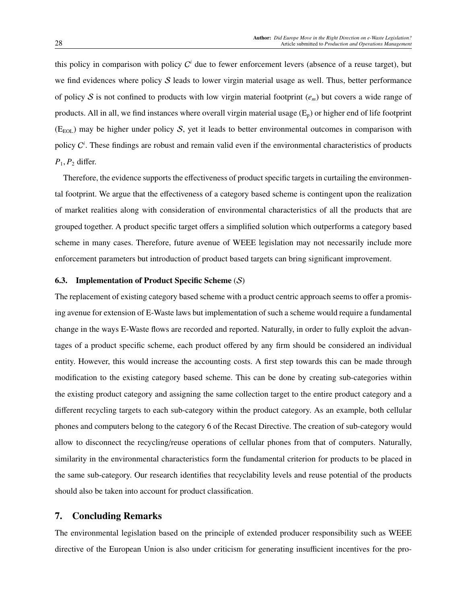this policy in comparison with policy  $C<sup>i</sup>$  due to fewer enforcement levers (absence of a reuse target), but we find evidences where policy  $S$  leads to lower virgin material usage as well. Thus, better performance of policy S is not confined to products with low virgin material footprint (*em*) but covers a wide range of products. All in all, we find instances where overall virgin material usage  $(E_p)$  or higher end of life footprint  $(E_{EOL})$  may be higher under policy S, yet it leads to better environmental outcomes in comparison with policy  $C<sup>i</sup>$ . These findings are robust and remain valid even if the environmental characteristics of products  $P_1$ ,  $P_2$  differ.

Therefore, the evidence supports the effectiveness of product specific targets in curtailing the environmental footprint. We argue that the effectiveness of a category based scheme is contingent upon the realization of market realities along with consideration of environmental characteristics of all the products that are grouped together. A product specific target offers a simplified solution which outperforms a category based scheme in many cases. Therefore, future avenue of WEEE legislation may not necessarily include more enforcement parameters but introduction of product based targets can bring significant improvement.

# 6.3. Implementation of Product Specific Scheme  $(S)$

The replacement of existing category based scheme with a product centric approach seems to offer a promising avenue for extension of E-Waste laws but implementation of such a scheme would require a fundamental change in the ways E-Waste flows are recorded and reported. Naturally, in order to fully exploit the advantages of a product specific scheme, each product offered by any firm should be considered an individual entity. However, this would increase the accounting costs. A first step towards this can be made through modification to the existing category based scheme. This can be done by creating sub-categories within the existing product category and assigning the same collection target to the entire product category and a different recycling targets to each sub-category within the product category. As an example, both cellular phones and computers belong to the category 6 of the Recast Directive. The creation of sub-category would allow to disconnect the recycling/reuse operations of cellular phones from that of computers. Naturally, similarity in the environmental characteristics form the fundamental criterion for products to be placed in the same sub-category. Our research identifies that recyclability levels and reuse potential of the products should also be taken into account for product classification.

# 7. Concluding Remarks

The environmental legislation based on the principle of extended producer responsibility such as WEEE directive of the European Union is also under criticism for generating insufficient incentives for the pro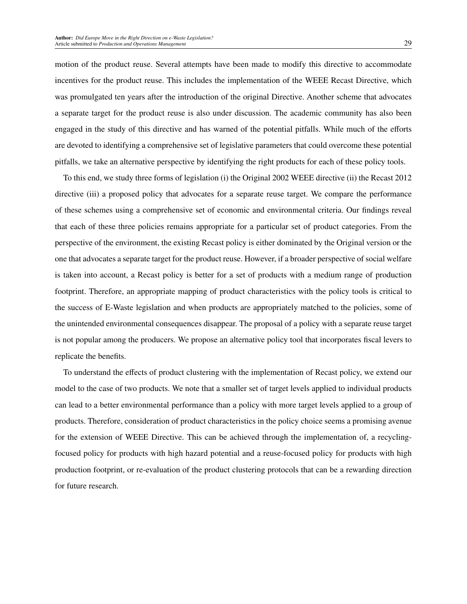motion of the product reuse. Several attempts have been made to modify this directive to accommodate incentives for the product reuse. This includes the implementation of the WEEE Recast Directive, which was promulgated ten years after the introduction of the original Directive. Another scheme that advocates a separate target for the product reuse is also under discussion. The academic community has also been engaged in the study of this directive and has warned of the potential pitfalls. While much of the efforts are devoted to identifying a comprehensive set of legislative parameters that could overcome these potential pitfalls, we take an alternative perspective by identifying the right products for each of these policy tools.

To this end, we study three forms of legislation (i) the Original 2002 WEEE directive (ii) the Recast 2012 directive (iii) a proposed policy that advocates for a separate reuse target. We compare the performance of these schemes using a comprehensive set of economic and environmental criteria. Our findings reveal that each of these three policies remains appropriate for a particular set of product categories. From the perspective of the environment, the existing Recast policy is either dominated by the Original version or the one that advocates a separate target for the product reuse. However, if a broader perspective of social welfare is taken into account, a Recast policy is better for a set of products with a medium range of production footprint. Therefore, an appropriate mapping of product characteristics with the policy tools is critical to the success of E-Waste legislation and when products are appropriately matched to the policies, some of the unintended environmental consequences disappear. The proposal of a policy with a separate reuse target is not popular among the producers. We propose an alternative policy tool that incorporates fiscal levers to replicate the benefits.

To understand the effects of product clustering with the implementation of Recast policy, we extend our model to the case of two products. We note that a smaller set of target levels applied to individual products can lead to a better environmental performance than a policy with more target levels applied to a group of products. Therefore, consideration of product characteristics in the policy choice seems a promising avenue for the extension of WEEE Directive. This can be achieved through the implementation of, a recyclingfocused policy for products with high hazard potential and a reuse-focused policy for products with high production footprint, or re-evaluation of the product clustering protocols that can be a rewarding direction for future research.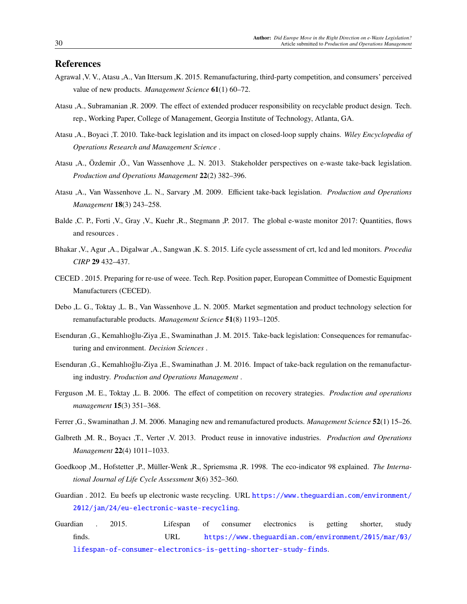# <span id="page-29-9"></span>References

- Agrawal ,V. V., Atasu ,A., Van Ittersum ,K. 2015. Remanufacturing, third-party competition, and consumers' perceived value of new products. *Management Science* 61(1) 60–72.
- <span id="page-29-6"></span>Atasu ,A., Subramanian ,R. 2009. The effect of extended producer responsibility on recyclable product design. Tech. rep., Working Paper, College of Management, Georgia Institute of Technology, Atlanta, GA.
- <span id="page-29-4"></span>Atasu ,A., Boyaci ,T. 2010. Take-back legislation and its impact on closed-loop supply chains. *Wiley Encyclopedia of Operations Research and Management Science* .
- <span id="page-29-8"></span>Atasu ,A., Özdemir ,Ö., Van Wassenhove ,L. N. 2013. Stakeholder perspectives on e-waste take-back legislation. *Production and Operations Management* 22(2) 382–396.
- <span id="page-29-7"></span>Atasu ,A., Van Wassenhove ,L. N., Sarvary ,M. 2009. Efficient take-back legislation. *Production and Operations Management* 18(3) 243–258.
- <span id="page-29-0"></span>Balde ,C. P., Forti ,V., Gray ,V., Kuehr ,R., Stegmann ,P. 2017. The global e-waste monitor 2017: Quantities, flows and resources .
- <span id="page-29-14"></span>Bhakar ,V., Agur ,A., Digalwar ,A., Sangwan ,K. S. 2015. Life cycle assessment of crt, lcd and led monitors. *Procedia CIRP* 29 432–437.
- <span id="page-29-15"></span>CECED . 2015. Preparing for re-use of weee. Tech. Rep. Position paper, European Committee of Domestic Equipment Manufacturers (CECED).
- <span id="page-29-10"></span>Debo ,L. G., Toktay ,L. B., Van Wassenhove ,L. N. 2005. Market segmentation and product technology selection for remanufacturable products. *Management Science* 51(8) 1193–1205.
- <span id="page-29-3"></span>Esenduran ,G., Kemahlıoglu-Ziya ,E., Swaminathan ,J. M. 2015. Take-back legislation: Consequences for remanufac- ˘ turing and environment. *Decision Sciences* .
- <span id="page-29-5"></span>Esenduran ,G., Kemahlıoğlu-Ziya ,E., Swaminathan ,J. M. 2016. Impact of take-back regulation on the remanufacturing industry. *Production and Operations Management* .
- <span id="page-29-11"></span>Ferguson ,M. E., Toktay ,L. B. 2006. The effect of competition on recovery strategies. *Production and operations management* 15(3) 351–368.
- <span id="page-29-12"></span>Ferrer ,G., Swaminathan ,J. M. 2006. Managing new and remanufactured products. *Management Science* 52(1) 15–26.
- <span id="page-29-13"></span>Galbreth ,M. R., Boyacı ,T., Verter ,V. 2013. Product reuse in innovative industries. *Production and Operations Management* 22(4) 1011–1033.
- <span id="page-29-16"></span>Goedkoop ,M., Hofstetter ,P., Müller-Wenk ,R., Spriemsma ,R. 1998. The eco-indicator 98 explained. *The International Journal of Life Cycle Assessment* 3(6) 352–360.
- <span id="page-29-2"></span>Guardian . 2012. Eu beefs up electronic waste recycling. URL [https://www.theguardian.com/environment/](https://www.theguardian.com/environment/2012/jan/24/eu-electronic-waste-recycling) [2012/jan/24/eu-electronic-waste-recycling](https://www.theguardian.com/environment/2012/jan/24/eu-electronic-waste-recycling).
- <span id="page-29-1"></span>Guardian . 2015. Lifespan of consumer electronics is getting shorter, study finds. URL [https://www.theguardian.com/environment/2015/mar/03/](https://www.theguardian.com/environment/2015/mar/03/lifespan-of-consumer-electronics-is-getting-shorter-study-finds) [lifespan-of-consumer-electronics-is-getting-shorter-study-finds](https://www.theguardian.com/environment/2015/mar/03/lifespan-of-consumer-electronics-is-getting-shorter-study-finds).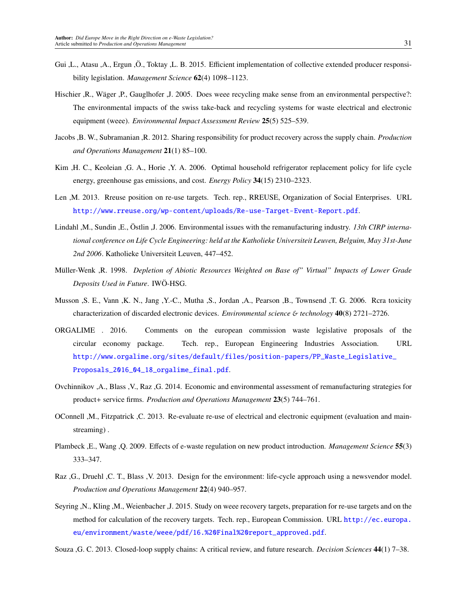- <span id="page-30-3"></span>Gui ,L., Atasu ,A., Ergun ,Ö., Toktay ,L. B. 2015. Efficient implementation of collective extended producer responsibility legislation. *Management Science* 62(4) 1098–1123.
- <span id="page-30-9"></span>Hischier ,R., Wäger ,P., Gauglhofer ,J. 2005. Does weee recycling make sense from an environmental perspective?: The environmental impacts of the swiss take-back and recycling systems for waste electrical and electronic equipment (weee). *Environmental Impact Assessment Review* 25(5) 525–539.
- <span id="page-30-4"></span>Jacobs ,B. W., Subramanian ,R. 2012. Sharing responsibility for product recovery across the supply chain. *Production and Operations Management* 21(1) 85–100.
- <span id="page-30-11"></span>Kim ,H. C., Keoleian ,G. A., Horie ,Y. A. 2006. Optimal household refrigerator replacement policy for life cycle energy, greenhouse gas emissions, and cost. *Energy Policy* 34(15) 2310–2323.
- <span id="page-30-1"></span>Len ,M. 2013. Rreuse position on re-use targets. Tech. rep., RREUSE, Organization of Social Enterprises. URL <http://www.rreuse.org/wp-content/uploads/Re-use-Target-Event-Report.pdf>.
- <span id="page-30-8"></span>Lindahl ,M., Sundin ,E., Ostlin ,J. 2006. Environmental issues with the remanufacturing industry. ¨ *13th CIRP international conference on Life Cycle Engineering: held at the Katholieke Universiteit Leuven, Belguim, May 31st-June 2nd 2006*. Katholieke Universiteit Leuven, 447–452.
- <span id="page-30-10"></span>Muller-Wenk ,R. 1998. ¨ *Depletion of Abiotic Resources Weighted on Base of" Virtual" Impacts of Lower Grade Deposits Used in Future*. IWO-HSG. ¨
- <span id="page-30-13"></span>Musson ,S. E., Vann ,K. N., Jang ,Y.-C., Mutha ,S., Jordan ,A., Pearson ,B., Townsend ,T. G. 2006. Rcra toxicity characterization of discarded electronic devices. *Environmental science* & *technology* 40(8) 2721–2726.
- <span id="page-30-0"></span>ORGALIME . 2016. Comments on the european commission waste legislative proposals of the circular economy package. Tech. rep., European Engineering Industries Association. URL [http://www.orgalime.org/sites/default/files/position-papers/PP\\_Waste\\_Legislative\\_](http://www.orgalime.org/sites/default/files/position-papers/PP_Waste_Legislative_Proposals_2016_04_18_orgalime_final.pdf) [Proposals\\_2016\\_04\\_18\\_orgalime\\_final.pdf](http://www.orgalime.org/sites/default/files/position-papers/PP_Waste_Legislative_Proposals_2016_04_18_orgalime_final.pdf).
- <span id="page-30-7"></span>Ovchinnikov ,A., Blass ,V., Raz ,G. 2014. Economic and environmental assessment of remanufacturing strategies for product+ service firms. *Production and Operations Management* 23(5) 744–761.
- <span id="page-30-12"></span>OConnell ,M., Fitzpatrick ,C. 2013. Re-evaluate re-use of electrical and electronic equipment (evaluation and mainstreaming) .
- <span id="page-30-2"></span>Plambeck ,E., Wang ,Q. 2009. Effects of e-waste regulation on new product introduction. *Management Science* 55(3) 333–347.
- <span id="page-30-6"></span>Raz ,G., Druehl ,C. T., Blass ,V. 2013. Design for the environment: life-cycle approach using a newsvendor model. *Production and Operations Management* 22(4) 940–957.
- <span id="page-30-14"></span>Seyring ,N., Kling ,M., Weienbacher ,J. 2015. Study on weee recovery targets, preparation for re-use targets and on the method for calculation of the recovery targets. Tech. rep., European Commission. URL [http://ec.europa.](http://ec.europa.eu/environment/waste/weee/pdf/16.%20Final%20report_approved.pdf) [eu/environment/waste/weee/pdf/16.%20Final%20report\\_approved.pdf](http://ec.europa.eu/environment/waste/weee/pdf/16.%20Final%20report_approved.pdf).

<span id="page-30-5"></span>Souza ,G. C. 2013. Closed-loop supply chains: A critical review, and future research. *Decision Sciences* 44(1) 7–38.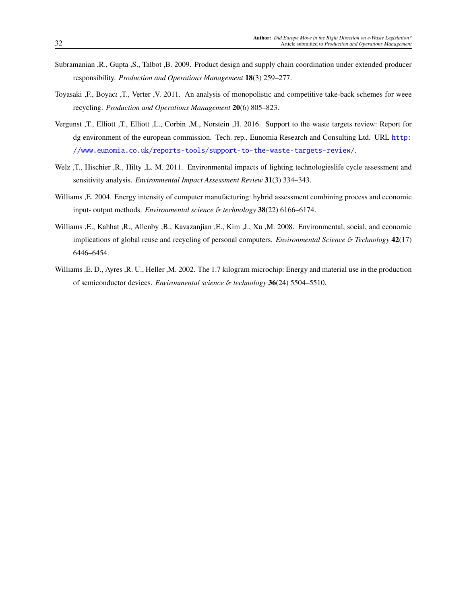- <span id="page-31-0"></span>Subramanian ,R., Gupta ,S., Talbot ,B. 2009. Product design and supply chain coordination under extended producer responsibility. *Production and Operations Management* 18(3) 259–277.
- <span id="page-31-1"></span>Toyasaki ,F., Boyacι ,T., Verter ,V. 2011. An analysis of monopolistic and competitive take-back schemes for weee recycling. *Production and Operations Management* 20(6) 805–823.
- <span id="page-31-6"></span>Vergunst ,T., Elliott ,T., Elliott ,L., Corbin ,M., Norstein ,H. 2016. Support to the waste targets review: Report for dg environment of the european commission. Tech. rep., Eunomia Research and Consulting Ltd. URL [http:](http://www.eunomia.co.uk/reports-tools/support-to-the-waste-targets-review/) [//www.eunomia.co.uk/reports-tools/support-to-the-waste-targets-review/](http://www.eunomia.co.uk/reports-tools/support-to-the-waste-targets-review/).
- <span id="page-31-4"></span>Welz ,T., Hischier ,R., Hilty ,L. M. 2011. Environmental impacts of lighting technologieslife cycle assessment and sensitivity analysis. *Environmental Impact Assessment Review* 31(3) 334–343.
- <span id="page-31-3"></span>Williams ,E. 2004. Energy intensity of computer manufacturing: hybrid assessment combining process and economic input- output methods. *Environmental science* & *technology* 38(22) 6166–6174.
- <span id="page-31-5"></span>Williams ,E., Kahhat ,R., Allenby ,B., Kavazanjian ,E., Kim ,J., Xu ,M. 2008. Environmental, social, and economic implications of global reuse and recycling of personal computers. *Environmental Science* & *Technology* 42(17) 6446–6454.
- <span id="page-31-2"></span>Williams ,E. D., Ayres ,R. U., Heller ,M. 2002. The 1.7 kilogram microchip: Energy and material use in the production of semiconductor devices. *Environmental science* & *technology* 36(24) 5504–5510.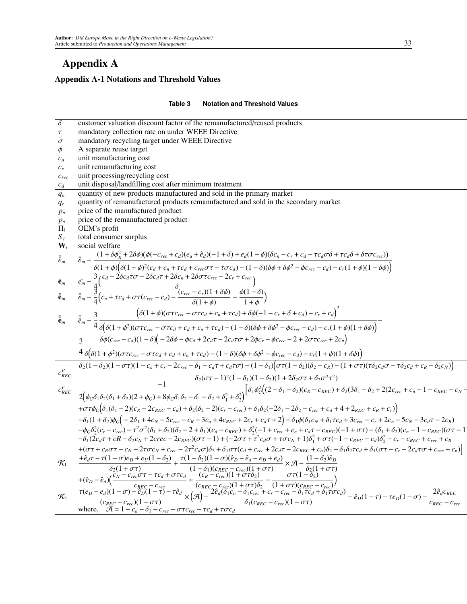# Appendix A

# Appendix A-1 Notations and Threshold Values

#### <span id="page-32-0"></span>**Table 3 Notation and Threshold Values**

| $\delta$                         | customer valuation discount factor of the remanufactured/reused products                                                                                                                                                                                                                                                                                                                                                                                                                   |
|----------------------------------|--------------------------------------------------------------------------------------------------------------------------------------------------------------------------------------------------------------------------------------------------------------------------------------------------------------------------------------------------------------------------------------------------------------------------------------------------------------------------------------------|
| $\tau$                           | mandatory collection rate on under WEEE Directive                                                                                                                                                                                                                                                                                                                                                                                                                                          |
| $\sigma$                         | mandatory recycling target under WEEE Directive                                                                                                                                                                                                                                                                                                                                                                                                                                            |
| $\phi$                           | A separate reuse target                                                                                                                                                                                                                                                                                                                                                                                                                                                                    |
| $c_n$                            | unit manufacturing cost                                                                                                                                                                                                                                                                                                                                                                                                                                                                    |
| $c_r$                            | unit remanufacturing cost                                                                                                                                                                                                                                                                                                                                                                                                                                                                  |
| $c_{rec}$                        | unit processing/recycling cost                                                                                                                                                                                                                                                                                                                                                                                                                                                             |
| $c_d$                            | unit disposal/landfilling cost after minimum treatment                                                                                                                                                                                                                                                                                                                                                                                                                                     |
| $q_n$                            | quantity of new products manufactured and sold in the primary market                                                                                                                                                                                                                                                                                                                                                                                                                       |
| $q_r$                            | quantity of remanufactured products remanufactured and sold in the secondary market                                                                                                                                                                                                                                                                                                                                                                                                        |
| $p_n$                            | price of the manufactured product                                                                                                                                                                                                                                                                                                                                                                                                                                                          |
| $p_n$                            | price of the remanufactured product                                                                                                                                                                                                                                                                                                                                                                                                                                                        |
| $\Pi_i$                          | OEM's profit                                                                                                                                                                                                                                                                                                                                                                                                                                                                               |
| $S_i$                            | total consumer surplus                                                                                                                                                                                                                                                                                                                                                                                                                                                                     |
| $\mathbf{W}_i$                   | social welfare                                                                                                                                                                                                                                                                                                                                                                                                                                                                             |
|                                  |                                                                                                                                                                                                                                                                                                                                                                                                                                                                                            |
| $\bar{\bar{\bar{e}}}_m$          | $\bar{\bar{e}}_m - \frac{(1+\delta\phi_R^2 + 2\delta\phi)(\phi(-c_{rec} + c_d)(e_u + \hat{e}_d)(-1+\delta) + e_d(1+\phi)(\delta c_n - c_r + c_d - \tau c_d\sigma\delta + \tau c_d\delta + \delta\tau\sigma c_{rec}))}{\delta(1+\phi)\big(\delta(1+\phi)^2(c_d + c_n + \tau c_d + c_{rec}\sigma\tau - \tau\sigma c_d) - (1-\delta)(\delta\phi + \delta\phi^2 - \phi c_{rec} - c_d) - c_r(1+\phi)(1+\delta\phi)\big)}$                                                                       |
|                                  | $\begin{pmatrix}\bar{e_m}-\frac{3}{4}\left(\frac{c_d-2\delta c_d\tau\sigma+2\delta c_d\tau+2\delta c_n+2\delta\sigma\tau c_{rec}-2c_r+c_{rec}}{\delta}\right)\\\bar{\bar{e}_m}-\frac{3}{4}\left(c_n+\tau c_d+\sigma\tau (c_{rec}-c_d)-\frac{(c_{rec}-c_r)(1+\delta\phi)}{\delta(1+\phi)}-\frac{\phi(1-\delta)}{1+\phi}\right)\end{pmatrix}$                                                                                                                                                |
| $\bar{\mathbf{e}}_m$             |                                                                                                                                                                                                                                                                                                                                                                                                                                                                                            |
| $\bar{\bar{\mathbf{e}}}_m$       |                                                                                                                                                                                                                                                                                                                                                                                                                                                                                            |
|                                  |                                                                                                                                                                                                                                                                                                                                                                                                                                                                                            |
| $\bar{\bar{\bar{\mathbf{e}}}}_m$ | $\frac{\left(\delta(1+\phi)(\sigma\tau c_{rec}-\sigma\tau c_d+c_n+\tau c_d)+\delta\phi(-1-c_r+\delta+c_d)-c_r+c_d\right)^2}{4\delta\left(\delta(1+\phi^2)(\sigma\tau c_{rec}-\sigma\tau c_d+c_d+c_n+\tau c_d)-(1-\delta)(\delta\phi+\delta\phi^2-\phi c_{rec}-c_d)-c_r(1+\phi)(1+\delta\phi)\right)}$                                                                                                                                                                                      |
|                                  |                                                                                                                                                                                                                                                                                                                                                                                                                                                                                            |
|                                  | $\frac{3}{4}\frac{\delta \dot{\phi}(c_{rec}-c_d)(1-\delta) \Big(-2 \delta \phi-\phi c_d+2 c_d \tau-2 c_d \tau \sigma+2 \phi c_r-\phi c_{rec}-2+2 \sigma \tau c_{rec}+2 c_n\Big)}{\delta \Big(\delta (1+\phi^2) (\sigma \tau c_{rec}-\sigma \tau c_d+c_d+c_n+\tau c_d)-(1-\delta) (\delta \phi+\delta \phi^2-\phi c_{rec}-c_d)-c_r (1+\phi) (1+\delta \phi)\Big)}$                                                                                                                          |
|                                  |                                                                                                                                                                                                                                                                                                                                                                                                                                                                                            |
| $c_{REC}^P$                      |                                                                                                                                                                                                                                                                                                                                                                                                                                                                                            |
|                                  | $\delta_2(\sigma\tau-1)^2(1-\delta_1)(1-\delta_2)(1+2\delta_2\sigma\tau+\delta_2\sigma^2\tau^2)$                                                                                                                                                                                                                                                                                                                                                                                           |
| $c^F_{REC}$                      | $\frac{\delta_2(\sigma\tau-1)^2(1-\delta_1)(1-\delta_2)(1+2\delta_2\sigma\tau+\delta_2\sigma^2\tau^2)}{2(\phi_c\delta_1\delta_2(\delta_1+\delta_2)(2+\phi_c)+8\phi_c\delta_1\delta_2-\delta_1-\delta_2+\delta_1^2+\delta_2^2)}\Big[\delta_1\phi_c^2\big((2-\delta_1-\delta_2)(c_R-c_{REC})+\delta_2(3\delta_1-\delta_2+2(2c_{rec}+c_n-1-c_{REC}-c_N-2))\Big]\Big]$                                                                                                                         |
|                                  |                                                                                                                                                                                                                                                                                                                                                                                                                                                                                            |
|                                  | $+\sigma\tau\phi_C(\delta_1(\delta_1-2)(c_R-2c_{REC}+c_d)+\delta_2(\delta_2-2)(c_r-c_{rec})+\delta_1\delta_2(-2\delta_1-2\delta_2-c_{rec}+c_d+4+2_{REC}+c_R+c_r))$                                                                                                                                                                                                                                                                                                                         |
|                                  | $-\delta_1(1+\delta_2)\phi_C(-2\delta_1+4c_N-5c_{rec}-c_R-3c_n+4c_{REC}+2c_r+c_d\tau+2)-\delta_1\phi(\delta_1c_N+\delta_1\tau c_d+3c_{rec}-c_r+2c_n-5c_N-3c_d\tau-2c_R)$                                                                                                                                                                                                                                                                                                                   |
|                                  | $-\phi_C \delta_2^2 (c_r - c_{rec}) - \tau^2 \sigma^2 (\delta_1 + \delta_2) (\delta_2 - 2 + \delta_1) (c_d - c_{REC}) + \delta_2^2 (-1 + c_{rec} + c_n + c_d \tau - c_{REC}) (-1 + \sigma \tau) - (\delta_1 + \delta_2) (c_n - 1 - c_{REC}) (\sigma \tau - 1)$<br>$-\delta_1(2c_d\tau + cR - \delta_2c_N + 2crec - 2c_{REC})(\sigma\tau - 1) + (-2\sigma\tau + \tau^2c_d\sigma + \tau\sigma c_N + 1)\delta_1^2 + \sigma\tau(-1 - c_{REC} + c_d)\delta_2^2 - c_r - c_{REC} + c_{rec} + c_R$ |
|                                  | $+(\sigma\tau+c_R\sigma\tau-c_N-2\tau\sigma c_N+c_{rec}-2\tau^2c_d\sigma)\delta_2+\delta_1\sigma\tau(c_d+c_{rec}+2c_d\tau-2c_{REC}+c_n)\delta_2-\delta_1\delta_2\tau c_d+\delta_1(\sigma\tau-c_r-2c_d\tau\sigma+c_{rec}+c_n)]$                                                                                                                                                                                                                                                             |
|                                  |                                                                                                                                                                                                                                                                                                                                                                                                                                                                                            |
| $\mathcal{K}_1$                  |                                                                                                                                                                                                                                                                                                                                                                                                                                                                                            |
|                                  |                                                                                                                                                                                                                                                                                                                                                                                                                                                                                            |
|                                  |                                                                                                                                                                                                                                                                                                                                                                                                                                                                                            |
|                                  | $+\hat{e}_d\tau - \tau(1-\sigma)e_b + e_v(1-\delta_2) + \frac{\tau(1-\delta_2)(1-\sigma)(\hat{e}_b - \hat{e}_d - e_b + e_d)}{(1-\delta_1)(c_{REC} - c_{rec})(1+\sigma\tau)} \times \mathcal{A} - \frac{(1-\delta_2)\hat{e}_b}{\delta_2(1+\sigma\tau)}$<br>$+(\hat{e}_b - \hat{e}_d)\left(\frac{c_N - c_{rec}\sigma\tau - \tau c_d + \sigma\tau c_d}{c_{REC} - c_{rec}} + \frac{(c_R - c_{rec})(1+\sigma\tau)}{(c_{REC} - c_{rec})(1+\sigma\tau)\delta_2} - \frac{\sigma\tau(1$             |
| $\mathcal{K}_2$                  |                                                                                                                                                                                                                                                                                                                                                                                                                                                                                            |
|                                  | where, $\mathcal{A} = 1 - c_n - \delta_1 - c_{rec} - \sigma \tau c_{rec} - \tau c_d + \tau \sigma c_d$                                                                                                                                                                                                                                                                                                                                                                                     |
|                                  |                                                                                                                                                                                                                                                                                                                                                                                                                                                                                            |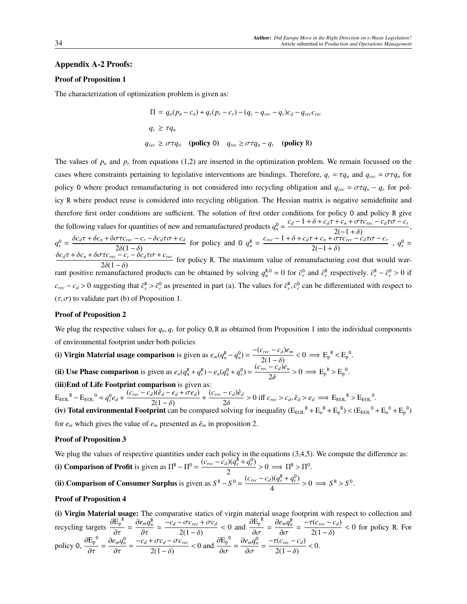#### Appendix A-2 Proofs:

#### Proof of Proposition 1

The characterization of optimization problem is given as:

 $\Pi = q_n(p_n - c_n) + q_r(p_r - c_r) - (q_c - q_{rec} - q_r)c_d - q_{rec}c_{rec}$  $q_c \geq \tau q_n$  $q_{rec} \geq \sigma \tau q_n$  (policy 0)  $q_{rec} \geq \sigma \tau q_n - q_r$  (policy R)

The values of  $p_n$  and  $p_r$  from equations (1,2) are inserted in the optimization problem. We remain focussed on the cases where constraints pertaining to legislative interventions are bindings. Therefore,  $q_c = \tau q_n$  and  $q_{rec} = \sigma \tau q_n$  for policy 0 where product remanufacturing is not considered into recycling obligation and  $q_{rec} = \sigma \tau q_n - q_r$  for policy R where product reuse is considered into recycling obligation. The Hessian matrix is negative semidefinite and therefore first order conditions are sufficient. The solution of first order conditions for policy O and policy R give the following values for quantities of new and remanufactured products  $q_n^0 = \frac{c_d - 1 + \delta + c_d \tau + c_n + \sigma \tau c_{rec} - c_d \tau \sigma - c_n}{2(1 + \delta)}$  $\frac{1}{2(-1+\delta)}$ ,<br>  $\sigma \tau c_{rec} - c_d \tau \sigma - c_r$  $q_r^0 = \frac{\delta c_d \tau + \delta c_n + \delta \sigma \tau c_{rec} - c_r - \delta c_d \tau \sigma + c_d}{2\delta (1 - \delta)}$  $\frac{\partial^2 \mathcal{L}(\mathcal{L} - \delta)}{2\delta(1 - \delta)}$  for policy and 0  $q_n^R = \frac{c_{rec} - 1 + \delta + c_d \tau + c_n + \sigma \tau c_{rec} - c_d \tau \sigma - c_r}{2(-1 + \delta)}$  $\frac{1}{2(-1+\delta)}$ ,  $q_r^0 =$ <br> $q_r^2 =$  $\frac{\delta c_d \tau + \delta c_n + \delta \sigma \tau c_{rec} - c_r - \delta c_d \tau \sigma + c_{rec}}{2 \xi (1 - \xi)}$  for policy R. The maximum value of remanufacturing cost that would war- $2δ(1 – δ)$  for *poncy R*. The maximum value of remanufacturing cost that would want positive remanufactured products can be obtained by solving  $q_n^{R,0} = 0$  for  $\bar{c}_r^0$  and  $\bar{c}_r^R$  respectively.  $\bar{c}_r^R - \bar{c}_r^0 >$  $c_{rec} - c_d > 0$  suggesting that  $\bar{c}_r^R > \bar{c}_r^0$  as presented in part (a). The values for  $\bar{c}_r^R$ ,  $\bar{c}_r^0$  can be differentiated with respect to

 $(\tau, \sigma)$  to validate part (b) of Proposition 1.

#### Proof of Proposition 2

We plug the respective values for  $q_n$ ,  $q_r$  for policy 0, R as obtained from Proposition 1 into the individual components of environmental footprint under both policies

(i) Virgin Material usage comparison is given as  $e_m(q_n^R - q_n^0) = \frac{-(c_{rec} - c_d)e_m}{2(1 - s)}$  $\frac{2(1-\delta)}{2(1-\delta)} < 0 \implies E_p^R < E_p^0$ .<br>  $\frac{2(1-\delta)}{2(1-\delta)}$ (ii) Use Phase comparison is given as  $e_u(q_n^R + q_r^R) - e_u(q_n^0 + q_r^0) = \frac{(c_{rec} - c_d)e_u}{2\delta}$  $\frac{-c_d e_u}{2\delta} > 0 \implies E_p^R > E_p^0.$ 

(iii)End of Life Footprint comparison is given as:

 $E_{EOL}^R - E_{EOL}^o = q_r^oe_d + \frac{(c_{rec} - c_d)(\hat{e}_d - e_d + \sigma e_d)}{2(1 - \delta)} + \frac{(c_{rec} - c_d)\hat{e}_d}{2\delta} > 0$  iff  $c_{rec} > c_d$ ,  $\hat{e}_d > e_d \implies E_{EOL}^R > E_{EOL}^o$ .  $2\delta$ <br>
2*δ* 2*m*  $\epsilon_{\text{rec}}$  2*c*<sub>d</sub>,  $\epsilon_a$  2*c*<sub>d</sub> 2*c*<sub>d</sub> 2*c*<sub>d</sub> 2*c*<sub>d</sub> 2*c*<sub>d</sub> 2*c*<sub>d</sub> 2*c*<sub>d</sub> 2*c*<sub>d</sub> 2*c*<sub>c</sub> 2*c*<sub>EOL</sub> 2*E*<sub>EOL</sub> 2*E*<sub>EOL</sub> 2*E*<sub>EOL</sub> 2*E*<sub>EOL</sub> 2*E*<sub>EOL</sub> 2*E*<sub>EOL</sub> 2*E*<sub>EOL</sub> 2*E*<sub>EOL</sub> 2*E*<sub>EOL</sub> 2*E*<sub>E</sub>

for  $e_m$  which gives the value of  $e_m$  presented as  $\bar{e}_m$  in proposition 2.

#### Proof of Proposition 3

We plug the values of respective quantities under each policy in the equations  $(3,4,5)$ . We compute the difference as: (i) Comparison of Profit is given as  $\Pi^R - \Pi^0 = \frac{(c_{rec} - c_d)(q_r^R + q_r^0)}{2}$  $\frac{D(q_r+q_r)}{2} > 0 \implies \Pi^R > \Pi^0.$ (ii) Comparison of Consumer Surplus is given as  $S^R - S^O = \frac{(c_{rec} - c_d)(q_r^R + q_r^O)}{4}$  $\frac{y(q_r+q_r)}{4} > 0 \implies S^R > S^0.$ 

#### Proof of Proposition 4

(i) Virgin Material usage: The comparative statics of virgin material usage footprint with respect to collection and recycling targets  $\frac{\partial E_p^R}{\partial x^R}$  $\frac{dE_p^R}{d\tau} = \frac{\partial e_m q_n^R}{\partial \tau} = \frac{-c_d - \sigma c_{rec} + \sigma c_d}{2(1 - \delta)} < 0$  and  $\frac{\partial E_p^R}{\partial \sigma}$ <br>  $e_m q^0 = -c_d + \sigma c_d - \sigma c_m$   $\frac{\partial E_n^Q}{\partial \rho} = \frac{\partial e_m q^0}{\partial \rho}$  $2(1 - \delta)$  $rac{\partial E_p}{\partial \sigma}^R = \frac{\partial e_m q_n^R}{\partial \sigma} = \frac{-\tau(c_{rec} - c_d)}{2(1 - \delta)}$  $\frac{(c_{rec} - c_a)}{2(1 - \delta)}$  < 0 for policy R. For policy 0,  $\frac{\partial E_p^0}{\partial x}$  $rac{E_p^0}{\partial \tau} = \frac{\partial e_m q_n^0}{\partial \tau} = \frac{-c_d + \sigma c_d - \sigma c_{rec}}{2(1-\delta)}$  $\frac{\partial^2 \mathbf{C}_{\mathbf{C}} - \sigma \mathbf{C}_{rec}}{2(1-\delta)} < 0$  and  $\frac{\partial \mathbf{E}_{\mathbf{p}}^0}{\partial \sigma}$  $rac{\partial E_p^0}{\partial \sigma} = \frac{\partial e_m q_n^0}{\partial \sigma} = \frac{-\tau(c_{rec} - c_d)}{2(1 - \delta)}$  $\frac{\overline{Q}}{2(1-\delta)} < 0.$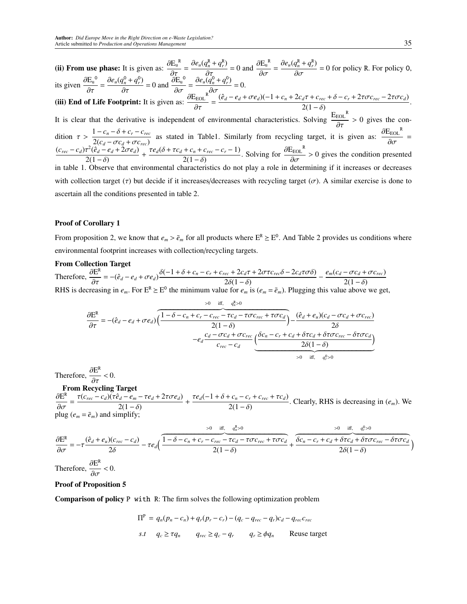(ii) From use phase: It is given as:  $\frac{\partial E_{u}^{R}}{\partial z}$  $rac{dE_{u}^{R}}{\partial \tau} = \frac{\partial e_{u}(q_{n}^{R} + q_{r}^{R})}{\partial \tau} = 0$  and  $\frac{\partial E_{u}^{R}}{\partial \sigma}$  $rac{\partial E_{u}^{R}}{\partial \sigma} = \frac{\partial e_{u}(q_{n}^{R} + q_{r}^{R})}{\partial \sigma} = 0$  for policy R. For policy 0, its given  $\frac{\partial E_{u}^0}{\partial z}$  $rac{dE_{u}^{0}}{\partial \tau} = \frac{\partial e_{u}(q_{n}^{0} + q_{r}^{0})}{\partial \tau} = 0$  and  $\frac{\partial E_{u}^{0}}{\partial \sigma}$  $\frac{\partial E_{u}^{0}}{\partial \sigma} = \frac{\partial e_{u}(\dot{q}_{n}^{0} + q_{r}^{0})}{\partial E_{\text{EOL}}^{R}} = 0.$ (iii) End of Life Footprint: It is given as:  $\frac{\partial E_{\text{EOL}}}{\partial z}$  $\frac{\partial \epsilon_{\text{EOL}}^R}{\partial \tau} = \frac{(\hat{e}_d - e_d + \sigma e_d)(-1 + c_n + 2c_d\tau + c_{rec} + \delta - c_r + 2\tau\sigma c_{rec} - 2\tau\sigma c_d)}{2(1 - \delta)}$  $\frac{2(1-\delta)}{E_{\text{EOL}}^R}$ . It is clear that the derivative is independent of environmental characteristics. Solving  $\frac{E_{EOL}}{2}$  $\frac{\partial \overline{\partial \tau}}{\partial \tau} > 0$  gives the con-<br> $\theta E_{\text{EOL}}^{R}$ dition  $\tau > \frac{1 - c_n - \delta + c_r - c_{rec}}{2(c_d - \sigma c_d + \sigma c_{rec})}$  $2(c_d - \sigma c_d + \sigma c_{rec})$ <br>  $(\hat{e}_d - e_d + 2\sigma e_d)$ as stated in Table1. Similarly from recycling target, it is given as:  $\frac{\partial E_{\text{EOL}}}{\partial z}$  $\frac{\partial E_{\text{OL}}}{\partial \sigma}$  =  $\frac{(c_{rec} - c_d)\tau^2(\hat{e}_d - e_d + 2\sigma e_d)}{2(1-\hat{e}_d - \hat{e}_d)}$  $\frac{\tau^2(\hat{e}_d - e_d + 2\sigma e_d)}{2(1 - \delta)} + \frac{\tau e_d(\delta + \tau c_d + c_n + c_{rec} - c_r - 1)}{2(1 - \delta)}$ <br>Observe that environmental characteristics do no  $2(1 - \delta)$ . Solving for  $\frac{\partial E_{\text{EOL}}^R}{\partial \tau}$ in table 1. Observe that environmental characteristics do not play a role in determining if it increases or decreases > 0 gives the condition presented with collection target ( $\tau$ ) but decide if it increases/decreases with recycling target ( $\sigma$ ). A similar exercise is done to ascertain all the conditions presented in table 2.

#### Proof of Corollary 1

From proposition 2, we know that  $e_m > \bar{e}_m$  for all products where  $E^R \ge E^0$ . And Table 2 provides us conditions where environmental footprint increases with collection/recycling targets.

#### From Collection Target

Therefore,  $\frac{\partial E^R}{\partial \tau} = -(\hat{e}_d - e_d + \sigma e_d) \frac{\delta(-1 + \delta + c_n - c_r + c_{rec} + 2c_d \tau + 2\sigma \tau c_{rec} \delta - 2c_d \tau \sigma \delta)}{2\delta(1 - \delta)}$ <br>RHS is decreasing in  $e_m$ . For  $E^R > E^0$  the minimum value for  $e_m$  is  $(e_m = \overline{e}_m)$ . Plugging  $\frac{e_e + 2c_d \tau + 2\sigma \tau c_{rec} \delta - 2c_d \tau \sigma \delta}{2\delta(1-\delta)} - \frac{e_m(c_d - \sigma c_d + \sigma c_{rec})}{2(1-\delta)}$ <br>
e for *e*<sub>m</sub> is (*e*<sub>m</sub> = *ē*<sub>m</sub>). Plugging this value above we ge RHS is decreasing in  $e_m$ . For  $E^R \ge E^0$  the minimum value for  $e_m$  is  $(e_m = \bar{e}_m)$ . Plugging this value above we get,

$$
\frac{\partial E^{R}}{\partial \tau} = -(\hat{e}_{d} - e_{d} + \sigma e_{d}) \overbrace{\left(\frac{1 - \delta - c_{n} + c_{r} - c_{rec} - \tau c_{d} - \tau \sigma c_{rec} + \tau \sigma c_{d}}{2(1 - \delta)}\right)}^{>0} - \frac{(\hat{e}_{d} + e_{u})(c_{d} - \sigma c_{d} + \sigma c_{rec})}{2\delta}
$$
\n
$$
-e_{d} \frac{c_{d} - \sigma c_{d} + \sigma c_{rec}}{c_{rec} - c_{d}} \underbrace{\left(\frac{\delta c_{n} - c_{r} + c_{d} + \delta \tau c_{d} + \delta \tau \sigma c_{rec} - \delta \tau \sigma c_{d}}{2\delta(1 - \delta)}\right)}_{>0 \text{ iff, } q_{r}^{0} > 0}
$$

Therefore,  $\frac{\partial E^{R}}{\partial z}$  $< 0.$ 

**From Recycling Target** 

 $\frac{\partial E^{R}}{\partial \sigma} = \frac{\tau (c_{rec} - c_d)(\tau \hat{e}_d - e_m - \tau e_d + 2\tau \sigma e_d)}{2(1 - \delta)}$ <br>
plug  $(e_m = \bar{e}_m)$  and simplify:  $\frac{\partial_a - e_m - \tau e_d + 2\tau \sigma e_d}{2(1 - \delta)} + \frac{\tau e_d(-1 + \delta + c_n - c_r + c_{rec} + \tau c_d)}{2(1 - \delta)}$ <br>mplify:  $\frac{c_n}{2(1-\delta)}$ . Clearly, RHS is decreasing in  $(e_m)$ . We plug ( $e_m = \bar{e}_m$ ) and simplify;

$$
\frac{\partial E^{R}}{\partial \sigma} = -\tau \frac{(\hat{e}_{d} + e_{u})(c_{rec} - c_{d})}{2\delta} - \tau e_{d} \left( \frac{1 - \delta - c_{n} + c_{r} - c_{rec} - \tau c_{d} - \tau \sigma c_{rec} + \tau \sigma c_{d}}{2(1 - \delta)} + \frac{\delta c_{n} - c_{r} + c_{d} + \delta \tau c_{d} + \delta \tau \sigma c_{rec} - \delta \tau \sigma c_{d}}{2\delta(1 - \delta)} \right)
$$
\nTherefore,  $\frac{\partial E^{R}}{\partial \sigma} < 0$ .  
\n**Proof of Proposition 5**

Comparison of policy P with R: The firm solves the following optimization problem

$$
\Pi^{\text{P}} = q_n(p_n - c_n) + q_r(p_r - c_r) - (q_c - q_{rec} - q_r)c_d - q_{rec}c_{rec}
$$
  
s.t  $q_c \ge \tau q_n$   $q_{rec} \ge q_c - q_r$   $q_r \ge \phi q_n$  Reuse target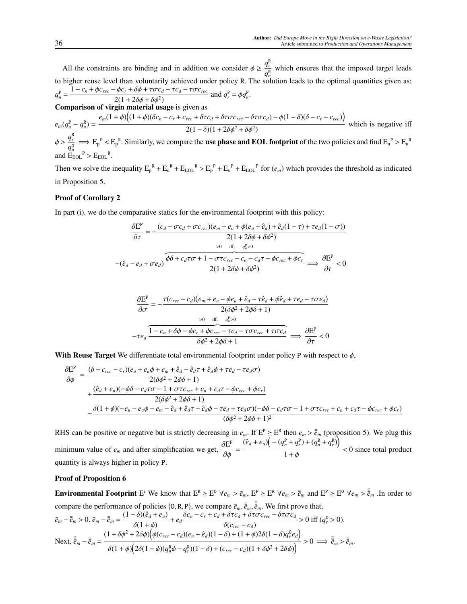All the constraints are binding and in addition we consider  $\phi \geq \frac{q_r^R}{q_n^R}$ *q* R *n* which ensures that the imposed target leads to higher reuse level than voluntarily achieved under policy R. The solution leads to the optimal quantities given as:  $q_n^P = \frac{1 - c_n + \phi c_{rec} - \phi c_r + \delta \phi + \tau \sigma c_d - \tau c_d - \tau \sigma c_{rec}}{2(1 + 2\delta \phi + \delta \phi^2)}$  and  $q_r^P = \phi q_n^P$ .

 $2(1+2\delta\phi+\delta\phi^2)$ gin material us: Comparison of virgin material usage is given as

$$
e_m(q_n^P - q_n^R) = \frac{e_m(1+\phi)\left((1+\phi)(\delta c_n - c_r + c_{rec} + \delta \tau c_d + \delta \tau \sigma c_{rec} - \delta \tau \sigma c_d) - \phi(1-\delta)(\delta - c_r + c_{rec})\right)}{2(1-\delta)(1+2\delta\phi^2 + \delta\phi^2)}
$$
 which is negative iff

 $\frac{1}{2}$ *q* R *r*  $\frac{q_r}{q_n^0} \implies E_p^P < E_p^R$ . Similarly, we compare the **use phase and EOL footprint** of the two policies and find  $E_u^P > E_u^R$ and  $\frac{q_n}{E_{EOL}}^P > E_{EOL}^R$ .

Then we solve the inequality  $E_p^R + E_u^R + E_{EOL}^R > E_p^P + E_u^P + E_{EOL}^P$  for  $(e_m)$  which provides the threshold as indicated in Proposition 5.

### Proof of Corollary 2

In part (i), we do the comparative statics for the environmental footprint with this policy:

$$
\frac{\partial E^P}{\partial \tau} = -\frac{(c_d - \sigma c_d + \sigma c_{rec})(e_m + e_u + \phi(e_u + \hat{e}_d) + \hat{e}_d(1 - \tau) + \tau e_d(1 - \sigma))}{2(1 + 2\delta\phi + \delta\phi^2)}
$$
  

$$
-(\hat{e}_d - e_d + \sigma e_d) \frac{\phi\delta + c_d\tau\sigma + 1 - \sigma\tau c_{rec} - c_n - c_d\tau + \phi c_{rec} + \phi c_r}{2(1 + 2\delta\phi + \delta\phi^2)} \implies \frac{\partial E^P}{\partial \tau} < 0
$$

$$
\frac{\partial E^P}{\partial \sigma} = -\frac{\tau (c_{rec} - c_d)(e_m + e_u - \phi e_u + \hat{e}_d - \tau \hat{e}_d + \phi \hat{e}_d + \tau e_d - \tau \sigma e_d)}{2(\delta \phi^2 + 2\phi \delta + 1)}
$$
  
\n>> 0 iff,  $q_n^P > 0$   
\n
$$
- \tau e_d \frac{\overbrace{1 - c_n + \delta \phi - \phi c_r + \phi c_{rec} - \tau c_d - \tau \sigma c_{rec} + \tau \sigma c_d}{\delta \phi^2 + 2\phi \delta + 1}}{\delta \phi^2 + 2\phi \delta + 1} \Longrightarrow \frac{\partial E^P}{\partial \tau} < 0
$$

With Reuse Target We differentiate total environmental footprint under policy P with respect to  $\phi$ ,

$$
\frac{\partial E^{P}}{\partial \phi} = \frac{(\delta + c_{rec} - c_{r})(e_{u} + e_{u}\phi + e_{m} + \hat{e}_{d} - \hat{e}_{d}\tau + \hat{e}_{d}\phi + \tau e_{d} - \tau e_{d}\sigma)}{2(\delta\phi^{2} + 2\phi\delta + 1)} + \frac{(\hat{e}_{d} + e_{u})(-\phi\delta - c_{d}\tau\sigma - 1 + \sigma\tau c_{rec} + c_{n} + c_{d}\tau - \phi c_{rec} + \phi c_{r})}{2(\delta\phi^{2} + 2\phi\delta + 1)} - \frac{\delta(1 + \phi)(-e_{u} - e_{u}\phi - e_{m} - \hat{e}_{d} + \hat{e}_{d}\tau - \hat{e}_{d}\phi - \tau e_{d} + \tau e_{d}\sigma)(-\phi\delta - c_{d}\tau\sigma - 1 + \sigma\tau c_{rec} + c_{n} + c_{d}\tau - \phi c_{rec} + \phi c_{r})}{(\delta\phi^{2} + 2\phi\delta + 1)^{2}}
$$

RHS can be positive or negative but is strictly decreasing in  $e_m$ . If  $E^p \geq E^R$  then  $e_m > \overline{e}_m$  (proposition 5). We plug this minimum value of  $e_m$  and after simplification we get,  $\frac{\partial E^P}{\partial \phi}$  = quantity is always higher in policy P.  $(\hat{e}_d + e_u) \Big( - (q_n^P + q_r^P) + (q_n^R + q_r^R) \Big)$  $\frac{1}{1 + \phi}$  < 0 since total product quantity is always higher in policy P.

#### Proof of Proposition 6

Environmental Footprint E<sup>*i*</sup> We know that  $E^R \ge E^O \forall e_m > \bar{e}_m$ ,  $E^P \ge E^R \forall e_m > \bar{\bar{e}}_m$  and  $E^P \ge E^O \forall e_m > \bar{\bar{e}}_m$ . In order to compare the performance of policies  $\{0, R, P\}$ , we compare  $\bar{e}_m, \bar{\bar{e}}_m, \bar{\bar{e}}_m$ . We first prove that,<br> $\delta(-\delta)(\hat{e}_d + e_n)$   $\delta(c_n - c_n + c_d + \delta\tau c_d + \delta\tau c c_{n-1} - \delta\tau c c_d)$ 

$$
\bar{e}_m - \bar{\bar{e}}_m > 0. \ \bar{e}_m - \bar{\bar{e}}_m = \frac{(1 - \delta)(\hat{e}_d + e_u)}{\delta(1 + \phi)} + e_d \frac{\delta c_n - c_r + c_d + \delta \tau c_d + \delta \tau \sigma c_{rec} - \delta \tau \sigma c_d}{\delta(c_{rec} - c_d)} > 0 \text{ iff } (q_r^0 > 0).
$$
\n
$$
\text{Next, } \bar{\bar{e}}_m - \bar{\bar{e}}_m = \frac{(1 + \delta \phi^2 + 2\delta \phi) \left( \phi(c_{rec} - c_d)(e_u + \hat{e}_d)(1 - \delta) + (1 + \phi)2\delta(1 - \delta)q_r^0 e_d \right)}{\delta(1 + \phi) \left( 2\delta(1 + \phi)(q_n^R \phi - q_r^R)(1 - \delta) + (c_{rec} - c_d)(1 + \delta \phi^2 + 2\delta \phi) \right)} > 0 \implies \bar{\bar{e}}_m > \bar{\bar{e}}_m.
$$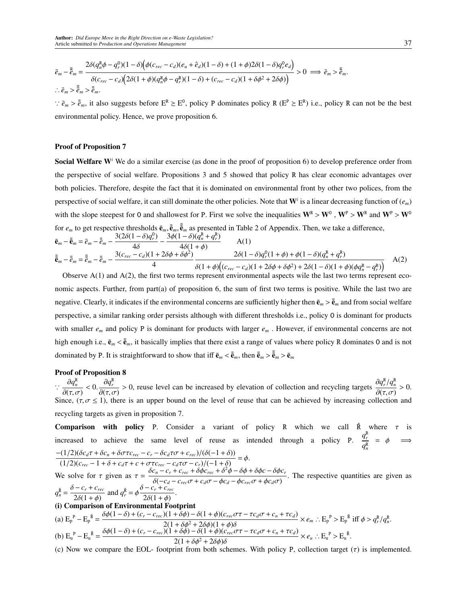$$
\bar{e}_m - \bar{\bar{e}}_m = \frac{2\delta(q_n^R\phi - q_r^0)(1-\delta)\Big(\phi(c_{rec} - c_d)(e_u + \hat{e}_d)(1-\delta) + (1+\phi)2\delta(1-\delta)q_r^0e_d\Big)}{\delta(c_{rec} - c_d)\Big(2\delta(1+\phi)(q_n^R\phi - q_r^R)(1-\delta) + (c_{rec} - c_d)(1+\delta\phi^2 + 2\delta\phi)\Big)} > 0 \implies \bar{e}_m > \bar{\bar{e}}_m.
$$
  
  $\therefore \bar{e}_m > \bar{\bar{e}}_m > \bar{\bar{e}}_m.$ 

 $\therefore \overline{e}_m > \overline{e}_m$ , it also suggests before  $E^R \ge E^0$ , policy P dominates policy R ( $E^P \ge E^R$ ) i.e., policy R can not be the best environmental policy. Hence, we prove proposition 6.

#### Proof of Proposition 7

Social Welfare W*<sup>i</sup>* We do a similar exercise (as done in the proof of proposition 6) to develop preference order from the perspective of social welfare. Propositions 3 and 5 showed that policy R has clear economic advantages over both policies. Therefore, despite the fact that it is dominated on environmental front by other two polices, from the perspective of social welfare, it can still dominate the other policies. Note that W*<sup>i</sup>* is a linear decreasing function of (*em*) with the slope steepest for 0 and shallowest for P. First we solve the inequalities  $W^R > W^0$ ,  $W^P > W^R$  and  $W^P > W^0$ for  $e_m$  to get respective thresholds  $\bar{\mathbf{e}}_m$ ,  $\bar{\bar{\mathbf{e}}}_m$ ,  $\bar{\bar{\mathbf{e}}}_m$ , as presented in Table 2 of Appendix. Then, we take a difference,  $3(2\delta(1-\delta)a^0)$ ,  $3\delta(1-\delta)(a^8+a^8)$ 

$$
\bar{\mathbf{e}}_m - \bar{\mathbf{e}}_m = \bar{e}_m - \bar{\bar{e}}_m - \frac{3(2\delta(1-\delta)q_r^0)}{4\delta} - \frac{3\phi(1-\delta)(\bar{q}_n^R + q_r^R)}{4\delta(1+\phi)} \qquad \text{A}(1)
$$
\n
$$
\bar{\bar{\mathbf{e}}}_m - \bar{\bar{e}}_m = \bar{\bar{e}}_m - \bar{\bar{e}}_m - \frac{3(c_{rec} - c_d)(1 + 2\delta\phi + \delta\phi^2)}{4} - \frac{2\delta(1-\delta)q_r^0(1+\phi) + \phi(1-\delta)(q_n^R + q_r^R)}{\delta(1+\phi)((c_{rec} - c_d)(1 + 2\delta\phi + \delta\phi^2) + 2\delta(1-\delta)(1+\phi)(\phi q_n^R - q_r^R))} \qquad \text{A}(2)
$$
\nObserve A(1) and A(2), the first two terms represent environmental aspects with the last two terms represent eco-

nomic aspects. Further, from part(a) of proposition 6, the sum of first two terms is positive. While the last two are negative. Clearly, it indicates if the environmental concerns are sufficiently higher then  $\bar{\mathbf{e}}_m > \bar{\mathbf{e}}_m$  and from social welfare perspective, a similar ranking order persists although with different thresholds i.e., policy O is dominant for products with smaller  $e_m$  and policy P is dominant for products with larger  $e_m$ . However, if environmental concerns are not high enough i.e.,  $\bar{\mathbf{e}}_m < \bar{\mathbf{e}}_m$ , it basically implies that there exist a range of values where policy R dominates 0 and is not dominated by P. It is straightforward to show that iff  $\bar{\mathbf{e}}_m < \bar{\bar{\mathbf{e}}}_m$ , then  $\bar{\bar{\mathbf{e}}}_m > \bar{\bar{\mathbf{e}}}_m > \bar{\mathbf{e}}_m$ 

#### Proof of Proposition 8

∴  $\frac{\partial q_n^{\text{R}}}{\partial q_n}$  $\frac{\partial q_n^{\text{R}}}{\partial(\tau,\sigma)} < 0 \cdot \frac{\partial q_r^{\text{R}}}{\partial(\tau,\sigma)}$ <br>nce.  $(\tau,\sigma \leq 1)$ , tl  $\frac{\partial q_r^R}{\partial (\tau, \sigma)} > 0$ , reuse level can be increased by elevation of collection and recycling targets  $\frac{\partial q_r^R/q_n^R}{\partial (\tau, \sigma)}$ <br>1) there is an upper bound on the level of reuse that can be achieved by increasing collection  $\frac{\partial^2 \mathcal{F}_t \cdot \mathcal{F}_n}{\partial(\tau, \sigma)} > 0.$ <br>Hection and Since,  $(\tau, \sigma \le 1)$ , there is an upper bound on the level of reuse that can be achieved by increasing collection and recycling targets as given in proposition 7.

**Comparison with policy** P. Consider a variant of policy R which we call  $\hat{R}$  where  $\tau$  is increased to achieve the same level of reuse as intended through a policy P.  $\frac{q_r^R}{r}$  $\frac{(1/2)(δc_dτ + δc_n + δστc_{rec} - c_r - δc_dτσ + c_{rec})/(δ(-1 + δ))}{4n} = φ.$  $\frac{r}{R}$  =  $\phi$   $\implies$ (1/2)(*c<sub>rec</sub>* − 1 + δ + *c*<sub>*d*</sub>**τ** + *c* + στ*c<sub>rec</sub>* − *c*<sub>*d*</sub>**τσ** − *c<sub>r</sub>*)/(−1 + δ)
– δ<br>
– δc<sub>*n*</sub> − *c*<sub>r</sub> + *c*<sub>*cec*</sub> + δφc<sub>*rec*</sub> + δφc<sub>*c*</sub> + δφ − δφ We solve for  $\tau$  given as  $\tau = \frac{\delta c_n - c_r + c_{rec} + \delta \phi c_{rec} + \delta^2 \phi - \delta \phi + \delta \phi c - \delta \phi c_r}{\delta (-c_d - c_{rec} \sigma + c_d \sigma - \phi c_d - \phi c_{rec} \sigma + \phi c_d \sigma)}$  $\delta(-c_d - c_{rec}\sigma + c_d\sigma - \phi c_d - \phi c_{rec}\sigma + \phi c_d\sigma)$ . The respective quantities are given as  $\delta^2 + c_{rec}\sigma + c_d\sigma - \phi c_d - \phi c_{rec}\sigma + \phi c_d\sigma$ .  $q_n^{\hat{\mathbf{R}}} = \frac{\delta - c_r + c_{rec}}{2\delta(1 + \phi)}$  and  $q_r^{\hat{\mathbf{R}}} = \phi \frac{\delta - c_r + c_{rec}}{2\delta(1 + \phi)}$ . <sup>2*n*</sup>  $2\delta(1+\phi)$  and  $4r$   $\rightarrow$   $2\delta(1+\phi)$ <br>(i) Comparison of Environmental Footprint  $\left( \text{a} \right) \mathbf{E}_{\text{p}}^{\text{P}} - \mathbf{E}_{\text{p}}^{\hat{\text{R}}} = \frac{\delta \phi (1 - \delta) + (c_r - c_{rec})(1 + \delta \phi) - \delta (1 + \phi)(c_{rec} \sigma \tau - \tau c_d \sigma + c_n + \tau c_d)}{2(1 + \delta \phi^2 + 2 \delta \sigma^2)(1 + \delta \sigma^2)}$  $2(1+\delta\phi^2+2\delta\phi)(1+\phi)\delta$ <br> $(1+\delta\phi)-\delta(1+\phi)(c_{rec}\phi)$  $\times e_m$   $\therefore E_p^P > E_p^{\hat{R}}$  iff  $\phi > q_r^R/q_n^R$ . (b)  $E_u^P - E_u^{\hat{R}} = \frac{\delta \phi (1 - \delta) + (c_r - c_{rec})(1 + \delta \phi) - \delta (1 + \phi)(c_{rec}^{\prime} \sigma \tau - \tau c_d \sigma + c_n + \tau c_d)}{2(1 + \delta \phi)^2 + 2 \delta \phi}$  $2(1 + \delta\phi^2 + 2\delta\phi)\delta$ <br>int from both sel  $\times e_u$   $\therefore$  E<sub>u</sub><sup>P</sup>  $>$  E<sub>u</sub><sup> $\hat{R}$ </sup>.

(c) Now we compare the EOL- footprint from both schemes. With policy P, collection target  $(\tau)$  is implemented.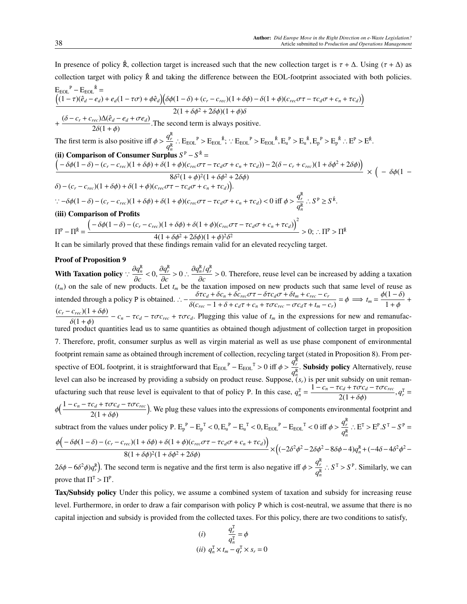In presence of policy  $\hat{R}$ , collection target is increased such that the new collection target is  $\tau + \Delta$ . Using ( $\tau + \Delta$ ) as collection target with policy  $\hat{R}$  and taking the difference between the EOL-footprint associated with both policies.  $\mathbf{E}$ 

$$
E_{EOL}^{P} - E_{EOL}^{R} = \frac{((1 - \tau)(\hat{e}_{d} - e_{d}) + e_{d}(1 - \tau\sigma) + \phi\hat{e}_{d})(\delta\phi(1 - \delta) + (c_{r} - c_{rec})(1 + \delta\phi) - \delta(1 + \phi)(c_{rec}\sigma\tau - \tau c_{d}\sigma + c_{n} + \tau c_{d}))}{2(1 + \delta\phi^{2} + 2\delta\phi)(1 + \phi)\delta} + \frac{(\delta - c_{r} + c_{rec})\Delta(\hat{e}_{d} - e_{d} + \sigma e_{d})}{2\delta(1 + \phi)}.
$$
The second term is always positive.  
The first term is also positive iff  $\phi > \frac{q_{r}^{R}}{q_{n}^{R}} \therefore E_{EOL}^{P} > E_{EOL}^{R}$ ;  $\because E_{EOL}^{P} > E_{EOL}^{R}$ ,  $E_{u}^{P} > E_{u}^{R}$ ,  $E_{p}^{P} > E_{p}^{R}$ .  $E^{P} > E^{R}$ .  
(ii) Comparison of Consumer Surplus  $S^{P} - S^{R} =$   
 $\left(-\delta\phi(1 - \delta) - (c_{r} - c_{rec})(1 + \delta\phi) + \delta(1 + \phi)(c_{rec}\sigma\tau - \tau c_{d}\sigma + c_{n} + \tau c_{d})\right) - 2(\delta - c_{r} + c_{rec})(1 + \delta\phi^{2} + 2\delta\phi)\right) \times \left(-\delta\phi(1 - \delta) - (c_{r} - c_{rec})(1 + \delta\phi) + \delta(1 + \phi)(c_{rec}\sigma\tau - \tau c_{d}\sigma + c_{n} + \tau c_{d})\right).$   
 $\left. \therefore -\delta\phi(1 - \delta) - (c_{r} - c_{rec})(1 + \delta\phi) + \delta(1 + \phi)(c_{rec}\sigma\tau - \tau c_{d}\sigma + c_{n} + \tau c_{d}) < 0 \text{ iff } \phi > \frac{q_{r}^{R}}{q_{n}^{R}} \therefore S^{P} \geq S^{R}.$   
(iii) Comparison of Profits  
 $\Pi^{P} - \Pi^{R} = \frac{\left(-\delta\phi(1 - \delta) - (c_{r} - c_{rec})(1 + \delta\phi) + \delta(1 + \phi)(c_{rec}\sigma\tau - \tau c_{d}\sigma + c_{n} + \tau c_{d})\right)^{$ 

#### Proof of Proposition 9

**With Taxation policy**  $\therefore \frac{\partial q_h^R}{\partial c} < 0$ ,  $\frac{\partial q_r^R}{\partial c} > 0$ . Therefore, reuse level can be increased by adding a taxation  $\frac{\partial c}{\partial t}$  or  $\frac{\partial c}{\partial t}$  or the taxation, these text can be increased by details a variation  $(t_m)$  on the sale of new products. Let  $t_m$  be the taxation imposed on new products such that same level of reuse as intended through a policy P is obtained. ∴  $-\frac{\delta \tau c_d + \delta c_n + \delta \hat{c}_{rec} \sigma \tau - \delta \tau c_d \sigma + \delta t_m + c_{rec} - c_r}{\delta (c_n - 1 + \delta \hat{c}_n \sigma + \delta \sigma \sigma + \sigma \sigma \sigma)}$  $\frac{\delta \tau c_d + \delta c_n + \delta \overline{c}_{rec} \sigma \tau - \delta \tau c_d \sigma + \delta t_m + c_{rec} - c_r}{\delta (c_{rec} - 1 + \delta + c_d \tau + c_n + \tau \sigma c_{rec} - \sigma c_d \tau + t_m - c_r)} = \phi \implies t_m = \frac{\phi(1 - \delta)}{1 + \phi}$  $\frac{(1 + \phi)}{1 + \phi} +$  $\frac{(c_r - c_{rec})(1 + \delta\phi)}{s(1 + t)}$  $\frac{\partial^2 F_{\text{rec}}(X + \partial \psi)}{\partial (1 + \phi)} - c_n - \tau c_d - \tau \sigma c_{\text{rec}} + \tau \sigma c_d$ . Plugging this value of  $t_m$  in the expressions for new and remanufac-<br>
broduct quantities lead us to same quantities as obtained though adjustment of collection tured product quantities lead us to same quantities as obtained though adjustment of collection target in proposition 7. Therefore, profit, consumer surplus as well as virgin material as well as use phase component of environmental footprint remain same as obtained through increment of collection, recycling target (stated in Proposition 8). From perspective of EOL footprint, it is straightforward that  $E_{EOL}^P - E_{EOL}^T > 0$  iff  $\phi > \frac{q_r^R}{q_n^R}$ *q* R *n* . Subsidy policy Alternatively, reuse level can also be increased by providing a subsidy on product reuse. Suppose, (*sr*) is per unit subsidy on unit remanufacturing such that reuse level is equivalent to that of policy P. In this case,  $q_n^T = \frac{1 - c_n - \tau c_d + \tau \sigma c_d - \tau \sigma c_{rec}}{2(1 + \delta A)}$  $\frac{c_d + 16 c_d}{2(1 + \delta \phi)}$ ,  $q_r^T =$  $\phi\left(\frac{1 - c_n - \tau c_d + \tau \sigma c_d - \tau \sigma c_{rec}}{2(1 + \delta \phi)}\right)$ . We plug these values into the expressions of components environmental footprint and  $2(1 + \delta\phi)$ subtract from the values under policy P.  $E_p^P - E_p^T < 0$ ,  $E_u^P - E_u^T < 0$ ,  $E_{EOL}^P - E_{EOL}^T < 0$  iff  $\phi > \frac{q_r^R}{q_n^R}$  $\frac{q_r}{q_n^R}$  :  $E^T > E^P.S^T - S^P =$ *n*  $\frac{1}{2}$  $(-\delta\phi(1-\delta)-(c_r-c_{rec})(1+\delta\phi)+\delta(1+\phi)(c_{rec}\sigma\tau-\tau c_d\sigma+c_n+\tau c_d))$  $\frac{\partial g(1+\delta\phi)^2(1+\delta\phi^2+2\delta\phi)}{8(1+\delta\phi)^2(1+\delta\phi^2+2\delta\phi)} \times \left((-2\delta^2)\right)$  $\phi^2 - 2\delta\phi^2 - 8\delta\phi - 4)q_n^R + (-4\delta - 4\delta^2)$ φ <sup>2</sup>−  $2\delta\phi - 6\delta^2\phi$ )*q*<sup>R</sup><sub>r</sub>. The second term is negative and the first term is also negative iff  $\phi > \frac{q_r^R}{q_n^R}$ *q* R *n*  $\therefore S^T > S^P$ . Similarly, we can prove that  $\Pi^T > \Pi^P$ .

Tax/Subsidy policy Under this policy, we assume a combined system of taxation and subsidy for increasing reuse level. Furthermore, in order to draw a fair comparison with policy P which is cost-neutral, we assume that there is no capital injection and subsidy is provided from the collected taxes. For this policy, there are two conditions to satisfy,

$$
(i) \qquad \frac{q_r^{\mathrm{T}}}{q_n^{\mathrm{T}}} = \phi
$$

$$
(ii) \ q_n^{\mathrm{T}} \times t_m - q_r^{\mathrm{T}} \times s_r = 0
$$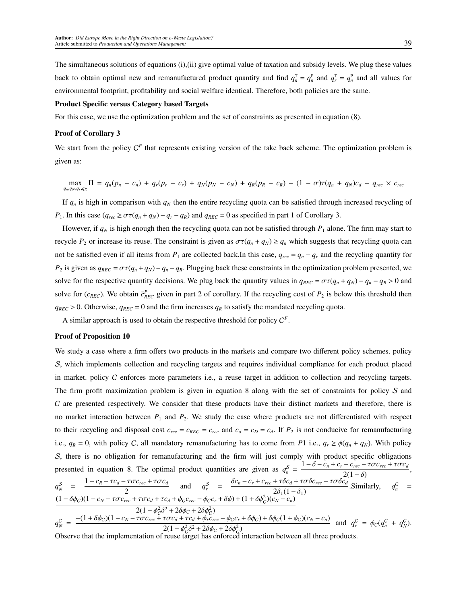The simultaneous solutions of equations (i),(ii) give optimal value of taxation and subsidy levels. We plug these values back to obtain optimal new and remanufactured product quantity and find  $q_n^T = q_n^P$  and  $q_r^T = q_n^P$  and all values for environmental footprint, profitability and social welfare identical. Therefore, both policies are the same.

#### Product Specific versus Category based Targets

For this case, we use the optimization problem and the set of constraints as presented in equation (8).

#### Proof of Corollary 3

We start from the policy  $C<sup>p</sup>$  that represents existing version of the take back scheme. The optimization problem is given as:

$$
\max_{q_n,q_N,q_r,q_R} \Pi = q_n(p_n - c_n) + q_r(p_r - c_r) + q_N(p_N - c_N) + q_R(p_R - c_R) - (1 - \sigma)\tau(q_n + q_N)c_d - q_{rec} \times c_{rec}
$$

If  $q_n$  is high in comparison with  $q_N$  then the entire recycling quota can be satisfied through increased recycling of *P*<sub>1</sub>. In this case ( $q_{rec} \geq \sigma \tau (q_n + q_N) - q_r - q_R$ ) and  $q_{REC} = 0$  as specified in part 1 of Corollary 3.

However, if  $q_N$  is high enough then the recycling quota can not be satisfied through  $P_1$  alone. The firm may start to recycle  $P_2$  or increase its reuse. The constraint is given as  $\sigma\tau(q_n + q_N) \ge q_n$  which suggests that recycling quota can not be satisfied even if all items from  $P_1$  are collected back.In this case,  $q_{rec} = q_n - q_r$  and the recycling quantity for *P*<sub>2</sub> is given as  $q_{REC} = \sigma \tau (q_n + q_N) - q_n - q_R$ . Plugging back these constraints in the optimization problem presented, we solve for the respective quantity decisions. We plug back the quantity values in  $q_{REC} = \sigma \tau (q_n + q_N) - q_n - q_R > 0$  and solve for  $(c_{REC})$ . We obtain  $\bar{c}_{REC}^P$  given in part 2 of corollary. If the recycling cost of  $P_2$  is below this threshold then  $q_{REC} > 0$ . Otherwise,  $q_{REC} = 0$  and the firm increases  $q_R$  to satisfy the mandated recycling quota.

A similar approach is used to obtain the respective threshold for policy  $C^F$ .

#### Proof of Proposition 10

We study a case where a firm offers two products in the markets and compare two different policy schemes. policy S, which implements collection and recycling targets and requires individual compliance for each product placed in market. policy  $C$  enforces more parameters i.e., a reuse target in addition to collection and recycling targets. The firm profit maximization problem is given in equation [8](#page-24-1) along with the set of constraints for policy  $S$  and C are presented respectively. We consider that these products have their distinct markets and therefore, there is no market interaction between  $P_1$  and  $P_2$ . We study the case where products are not differentiated with respect to their recycling and disposal cost  $c_{rec} = c_{REC} = c_{rec}$  and  $c_d = c_D = c_d$ . If  $P_2$  is not conducive for remanufacturing i.e.,  $q_R = 0$ , with policy C, all mandatory remanufacturing has to come from *P*1 i.e.,  $q_r \ge \phi(q_n + q_N)$ . With policy S, there is no obligation for remanufacturing and the firm will just comply with product specific obligations presented in equation [8.](#page-24-1) The optimal product quantities are given as  $q_n^S = \frac{1 - \delta - c_n + c_r - c_{rec} - \tau \sigma c_{rec} + \tau \sigma c_d}{2(1 - \delta)}$  $\frac{C_{rec} \cdot C_{rec} \cdot C_{rec}}{2(1-\delta)},$  $q_N^S = \frac{1 - c_R - \tau c_d - \tau \sigma c_{rec} + \tau \sigma c_d}{2}$  and  $q_r^S = \frac{\delta c_n - c_r + c_{rec} + \tau \delta c_d + \tau \sigma \delta c_{rec} - \tau \sigma \delta c_d}{2\delta_1(1 - \delta_1)}$  $\frac{2\delta_1(1-\delta_1)}{2\delta_2(1-\delta_1)}$ . Similarly,  $q_n^C =$  $(1 - \delta\phi_c)(1 - c_N - \tau\sigma c_{rec} + \tau\sigma c_d + \tau c_d + \phi_c c_{rec} - \phi_c c_r + \delta\phi) + (1 + \delta\phi_c^2)(c_N - c_n)$  $2(1 - \phi_C^2 \delta^2 + 2\delta\phi_C + 2\delta\phi_C^2)$ <br>  $\tau\sigma c_{rec} + \tau\sigma c_d + \tau c_d + \phi_{rc}$  $q_N^C = \frac{-(1+\delta\phi_C)(1-c_N-\tau\sigma c_{rec}+\tau\sigma c_d+\tau c_d+\phi_r c_{rec}-\phi_C c_r+\delta\phi_C)+\delta\phi_C(1+\phi_C)(c_N-c_n)}{2(1-\phi_C^2\delta^2+2\delta\phi_C+\phi_C^2c_r+\delta\phi_C)}$  $\frac{2(1 - \phi_C^2 \delta^2 + 2\delta\phi_C + 2\delta\phi_C^2)}{2(1 - \phi_C^2 \delta^2 + 2\delta\phi_C + 2\delta\phi_C^2)}$  and  $q_r^C = \phi_C(q_n^C + q_n^C)$ .<br>
reuse target has enforced interaction between all three products.

Observe that the implementation of reuse target has enforced interaction between all three products.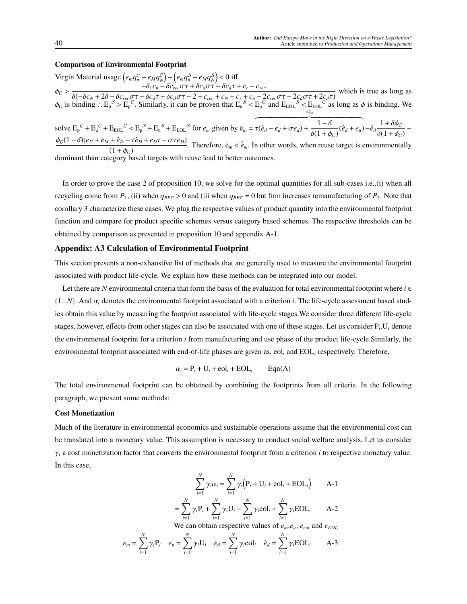#### Comparison of Environmental Footprint

Virgin Material usage  $(e_m q_n^C + e_M q_N^C) - (e_m q_n^S + e_M q_N^S) < 0$  iff  $\phi_C > \frac{-\delta_1 c_n - \delta c_{rec} \sigma \tau + \delta c_d \sigma \tau - \delta c_d \tau + c_r - c_{rec}}{\delta(-\delta c_N + 2\delta - \delta c_{rec} \sigma \tau - \delta c_d \tau + \delta c_d \sigma \tau - 2 + c_{rec} + c_N - c_r + c_n + 2\delta)}$  $\frac{\delta(-\delta c_N + 2\delta - \delta c_{rec}\sigma\tau - \delta c_d\tau + \delta c_d\sigma\tau - 2 + c_{rec} + c_N - c_r + c_n + 2c_{rec}\sigma\tau - 2c_d\sigma\tau + 2c_d\tau)}{\delta(-\delta c_N + 2\delta - \delta c_{rec}\sigma\tau - \delta c_d\tau + \delta c_d\sigma\tau - 2 + c_{rec} + c_N - c_r + c_n + 2c_{rec}\sigma\tau - 2c_d\sigma\tau + 2c_d\tau)}$  which is true as long as  $\delta$  is true as long as  $\delta$  $\phi_C$  is binding  $\therefore E_p^S > E_p^C$ . Similarly, it can be proven that  $E_u^S < E_u^C$  and  $E_{EOL}^S \leq E_{EOL}^C$  as long as  $\phi$  is binding. We solve  $E_p^C + E_u^C + E_{EOL}^C < E_p^S + E_u^S + E_{EOL}^S$  for  $e_m$  given by  $\bar{e}_m =$  $=\bar{e}_m$  $\frac{1-\delta}{}$  $\tau(\hat{e}_d - e_d + \sigma e_d) + \frac{1-\delta}{\delta(1+\phi)}$  $\frac{1-\delta}{\delta(1+\phi_C)}(\hat{e}_d+e_u)-\hat{e}_d\frac{1+\delta\phi_C}{\delta(1+\phi_C)}$  $\frac{1+6\varphi_C}{\delta(1+\phi_C)}$  $\phi_C(1-\delta)(e_U + e_M + \hat{e}_D - \tau \hat{e}_D + e_D \tau - \sigma \tau e_D)$  $\frac{(1+\phi_C)(1+\phi_C)}{(1+\phi_C)}$ . Therefore,  $\bar{e}_m < \bar{e}_m$ . In other words, when reuse target is environmentally egory based targets with reuse lead to better outcomes. dominant than category based targets with reuse lead to better outcomes.

In order to prove the case 2 of proposition 10, we solve for the optimal quantities for all sub-cases i.e.,(i) when all recycling come from  $P_1$ , (ii) when  $q_{REC} > 0$  and (iii when  $q_{REC} = 0$  but firm increases remanufacturing of  $P_2$ . Note that corollary 3 characterize these cases. We plug the respective values of product quantity into the environmental footprint function and compare for product specific schemes versus category based schemes. The respective thresholds can be obtained by comparison as presented in proposition 10 and appendix A-1.

#### Appendix: A3 Calculation of Environmental Footprint

This section presents a non-exhaustive list of methods that are generally used to measure the environmental footprint associated with product life-cycle. We explain how these methods can be integrated into our model.

Let there are *N* environmental criteria that form the basis of the evaluation for total environmental footprint where  $i \in$  ${1...N}$ . And  $\alpha_i$  denotes the environmental footprint associated with a criterion *i*. The life-cycle assessment based studies obtain this value by measuring the footprint associated with life-cycle stages.We consider three different life-cycle stages, however, effects from other stages can also be associated with one of these stages. Let us consider  $P_i, U_i$  denote the environmental footprint for a criterion *i* from manufacturing and use phase of the product life-cycle.Similarly, the environmental footprint associated with end-of-life phases are given as, eol*<sup>i</sup>* and EOL*<sup>i</sup>* respectively. Therefore,

$$
\alpha_i = P_i + U_i + \text{eol}_i + \text{EOL}_i \qquad \text{Eqn(A)}
$$

The total environmental footprint can be obtained by combining the footprints from all criteria. In the following paragraph, we present some methods:

#### Cost Monetization

Much of the literature in environmental economics and sustainable operations assume that the environmental cost can be translated into a monetary value. This assumption is necessary to conduct social welfare analysis. Let us consider  $\gamma_i$  a cost monetization factor that converts the environmental footprint from a criterion *i* to respective monetary value. In this case,

$$
\sum_{i=1}^{N} \gamma_i \alpha_i = \sum_{i=1}^{N} \gamma_i (P_i + U_i + \text{eol}_i + \text{EOL}_i) \qquad \text{A-1}
$$

$$
= \sum_{i=1}^{N} \gamma_i P_i + \sum_{i=1}^{N} \gamma_i U_i + \sum_{i=1}^{N} \gamma_i \text{eol}_i + \sum_{i=1}^{N} \gamma_i \text{EOL}_i \qquad \text{A-2}
$$

We can obtain respective values of  $e_m, e_u, e_{e0}$  and  $e_{FOL}$ 

$$
e_m = \sum_{i=1}^N \gamma_i \mathbf{P}_i \quad e_u = \sum_{i=1}^N \gamma_i \mathbf{U}_i \quad e_d = \sum_{i=1}^N \gamma_i \text{eol}_i \quad \hat{e}_d = \sum_{i=1}^N \gamma_i \text{EOL}_i \qquad \text{A-3}
$$

=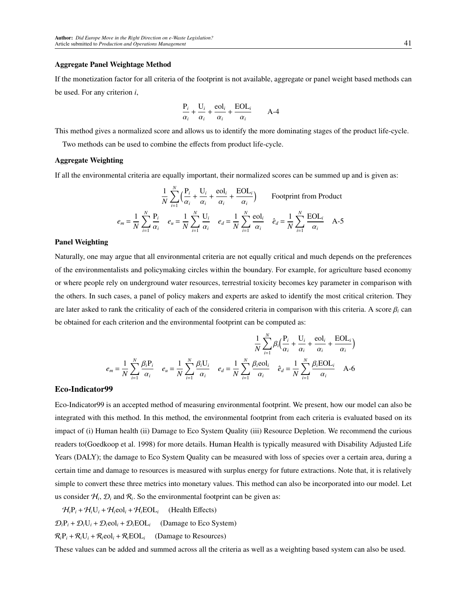#### Aggregate Panel Weightage Method

If the monetization factor for all criteria of the footprint is not available, aggregate or panel weight based methods can be used. For any criterion *i*,

$$
\frac{P_i}{\alpha_i} + \frac{U_i}{\alpha_i} + \frac{\text{eol}_i}{\alpha_i} + \frac{\text{EOL}_i}{\alpha_i} \qquad \text{A-4}
$$

This method gives a normalized score and allows us to identify the more dominating stages of the product life-cycle.

Two methods can be used to combine the effects from product life-cycle.

#### Aggregate Weighting

If all the environmental criteria are equally important, their normalized scores can be summed up and is given as:

$$
\frac{1}{N} \sum_{i=1}^{N} \left( \frac{P_i}{\alpha_i} + \frac{U_i}{\alpha_i} + \frac{\text{eol}_i}{\alpha_i} + \frac{\text{EOL}_i}{\alpha_i} \right) \qquad \text{Footprint from Product}
$$
\n
$$
e_m = \frac{1}{N} \sum_{i=1}^{N} \frac{P_i}{\alpha_i} \quad e_u = \frac{1}{N} \sum_{i=1}^{N} \frac{U_i}{\alpha_i} \quad e_d = \frac{1}{N} \sum_{i=1}^{N} \frac{\text{eol}_i}{\alpha_i} \quad \hat{e}_d = \frac{1}{N} \sum_{i=1}^{N} \frac{\text{EOL}_i}{\alpha_i} \quad \text{A-5}
$$

#### Panel Weighting

Naturally, one may argue that all environmental criteria are not equally critical and much depends on the preferences of the environmentalists and policymaking circles within the boundary. For example, for agriculture based economy or where people rely on underground water resources, terrestrial toxicity becomes key parameter in comparison with the others. In such cases, a panel of policy makers and experts are asked to identify the most critical criterion. They are later asked to rank the criticality of each of the considered criteria in comparison with this criteria. A score  $\beta_i$  can be obtained for each criterion and the environmental footprint can be computed as:

$$
\frac{1}{N} \sum_{i=1}^{N} \beta_i \left( \frac{P_i}{\alpha_i} + \frac{U_i}{\alpha_i} + \frac{\text{eol}_i}{\alpha_i} + \frac{\text{EOL}_i}{\alpha_i} \right)
$$
\n
$$
e_m = \frac{1}{N} \sum_{i=1}^{N} \frac{\beta_i P_i}{\alpha_i} \qquad e_u = \frac{1}{N} \sum_{i=1}^{N} \frac{\beta_i \text{eol}_i}{\alpha_i} \qquad e_d = \frac{1}{N} \sum_{i=1}^{N} \frac{\beta_i \text{eol}_i}{\alpha_i} \qquad \frac{1}{\alpha_i} \sum_{i=1}^{N} \frac{\beta_i \text{EOL}_i}{\alpha_i} \qquad \text{A-6}
$$

# Eco-Indicator99

Eco-Indicator99 is an accepted method of measuring environmental footprint. We present, how our model can also be integrated with this method. In this method, the environmental footprint from each criteria is evaluated based on its impact of (i) Human health (ii) Damage to Eco System Quality (iii) Resource Depletion. We recommend the curious readers to[\(Goedkoop et al.](#page-29-16) [1998\)](#page-29-16) for more details. Human Health is typically measured with Disability Adjusted Life Years (DALY); the damage to Eco System Quality can be measured with loss of species over a certain area, during a certain time and damage to resources is measured with surplus energy for future extractions. Note that, it is relatively simple to convert these three metrics into monetary values. This method can also be incorporated into our model. Let us consider  $H_i$ ,  $\mathcal{D}_i$  and  $\mathcal{R}_i$ . So the environmental footprint can be given as:

 $H_iP_i + H_iU_i + H_ieol_i + H_iEol_i$  (Health Effects)

 $\mathcal{D}_i P_i + \mathcal{D}_i U_i + \mathcal{D}_i \text{eol}_i + \mathcal{D}_i \text{EOL}_i$  (Damage to Eco System)

 $\mathcal{R}_i P_i + \mathcal{R}_i U_i + \mathcal{R}_i \text{eol}_i + \mathcal{R}_i \text{EOL}_i$  (Damage to Resources)

These values can be added and summed across all the criteria as well as a weighting based system can also be used.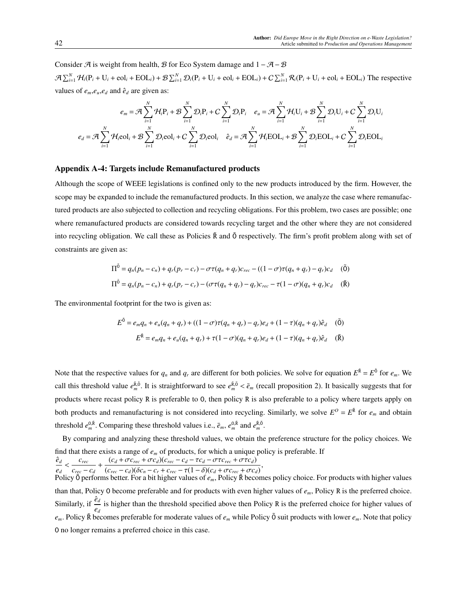Consider  $\mathcal A$  is weight from health,  $\mathcal B$  for Eco System damage and  $1 - \mathcal A - \mathcal B$  $\mathcal{A}\sum_{i=1}^N\mathcal{H}_i(\mathbf{P}_i+\mathbf{U}_i+\text{eol}_i+\text{EOL}_i)+\mathcal{B}\sum_{i=1}^N\mathcal{D}_i(\mathbf{P}_i+\mathbf{U}_i+\text{eol}_i+\text{EOL}_i)+C\sum_{i=1}^N\mathcal{R}_i(\mathbf{P}_i+\mathbf{U}_i+\text{eol}_i+\text{EOL}_i)$  The respective values of  $e_m, e_u, e_d$  and  $\hat{e}_d$  are given as:

$$
e_m = \mathcal{A} \sum_{i=1}^N \mathcal{H}_i \mathbf{P}_i + \mathcal{B} \sum_{i=1}^N \mathcal{D}_i \mathbf{P}_i + C \sum_{i=1}^N \mathcal{D}_i \mathbf{P}_i \quad e_u = \mathcal{A} \sum_{i=1}^N \mathcal{H}_i \mathbf{U}_i + \mathcal{B} \sum_{i=1}^N \mathcal{D}_i \mathbf{U}_i + C \sum_{i=1}^N \mathcal{D}_i \mathbf{U}_i
$$

$$
e_d = \mathcal{A} \sum_{i=1}^N \mathcal{H}_i \text{eol}_i + \mathcal{B} \sum_{i=1}^N \mathcal{D}_i \text{eol}_i + C \sum_{i=1}^N \mathcal{D}_i \text{eol}_i \quad \hat{e}_d = \mathcal{A} \sum_{i=1}^N \mathcal{H}_i \text{EOL}_i + \mathcal{B} \sum_{i=1}^N \mathcal{D}_i \text{EOL}_i + C \sum_{i=1}^N \mathcal{D}_i \text{EOL}_i
$$

#### Appendix A-4: Targets include Remanufactured products

Although the scope of WEEE legislations is confined only to the new products introduced by the firm. However, the scope may be expanded to include the remanufactured products. In this section, we analyze the case where remanufactured products are also subjected to collection and recycling obligations. For this problem, two cases are possible; one where remanufactured products are considered towards recycling target and the other where they are not considered into recycling obligation. We call these as Policies  $\tilde{R}$  and  $\tilde{O}$  respectively. The firm's profit problem along with set of constraints are given as:

$$
\Pi^{\tilde{0}} = q_n(p_n - c_n) + q_r(p_r - c_r) - \sigma \tau (q_n + q_r)c_{rec} - ((1 - \sigma)\tau (q_n + q_r) - q_r)c_d \quad (\tilde{0})
$$
  

$$
\Pi^{\tilde{0}} = q_n(p_n - c_n) + q_r(p_r - c_r) - (\sigma \tau (q_n + q_r) - q_r)c_{rec} - \tau (1 - \sigma)(q_n + q_r)c_d \quad (\tilde{R})
$$

The environmental footprint for the two is given as:

$$
E^{\tilde{0}} = e_m q_n + e_u (q_n + q_r) + ((1 - \sigma) \tau (q_n + q_r) - q_r) e_d + (1 - \tau) (q_n + q_r) \hat{e}_d \quad ( \tilde{0})
$$
  

$$
E^{\tilde{R}} = e_m q_n + e_u (q_n + q_r) + \tau (1 - \sigma) (q_n + q_r) e_d + (1 - \tau) (q_n + q_r) \hat{e}_d \quad ( \tilde{R})
$$

Note that the respective values for  $q_n$  and  $q_r$  are different for both policies. We solve for equation  $E^{\tilde{R}} = E^{\tilde{0}}$  for  $e_m$ . We call this threshold value  $e_m^{\overline{R},\overline{0}}$ . It is straightforward to see  $e_m^{\overline{R},\overline{0}} < \overline{e}_m$  (recall proposition 2). It basically suggests that for products where recast policy R is preferable to O, then policy R is also preferable to a policy where targets apply on both products and remanufacturing is not considered into recycling. Similarly, we solve  $E^O = E^{\tilde{R}}$  for  $e_m$  and obtain threshold  $e_m^{0,\bar{R}}$ . Comparing these threshold values i.e.,  $\bar{e}_m$ ,  $e_m^{0,\bar{R}}$  and  $e_m^{\tilde{R},\tilde{O}}$ .

By comparing and analyzing these threshold values, we obtain the preference structure for the policy choices. We find that there exists a range of *e<sup>m</sup>* of products, for which a unique policy is preferable. If  $\hat{e}_d$ *c*<sub>rec</sub>*rec*<sub>*rec*</sub>  $(c_d + \sigma c_{rec} + \sigma c_d)(c_{rec} - c_d - \tau c_d - \sigma \tau c_{rec} + \sigma \tau c_d)$ 

$$
\frac{e_a}{e_d} < \frac{e_{rec}}{c_{rgc} - c_d} + \frac{(e_a + e_{rec} + e_{ca})(e_{rec} - e_a + e_a - e_{rec} + e_{rec})}{(c_{rec} - c_d)(\delta c_n - c_r + c_{rec} - \tau(1 - \delta)(c_d + \sigma c_{rec} + \sigma c_d)}
$$

 $e_d$   $c_{rec} - c_d$   $(c_{rec} - c_d)(\delta c_n - c_r + c_{rec} - \tau(1 - \delta)(c_d + \sigma c_{rec} + \sigma c_d)$ <br>Policy  $\delta$  performs better. For a bit higher values of  $e_m$ , Policy  $\tilde{R}$  becomes policy choice. For products with higher values than that, Policy O become preferable and for products with even higher values of *em*, Policy R is the preferred choice. Similarly, if  $\frac{\hat{e}_d}{e_d}$  is higher than the threshold specified above then Policy R is the preferred choice for higher values of  $e_m$ . Policy  $\tilde{R}$  becomes preferable for moderate values of  $e_m$  while Policy  $\tilde{O}$  suit products with lower  $e_m$ . Note that policy O no longer remains a preferred choice in this case.